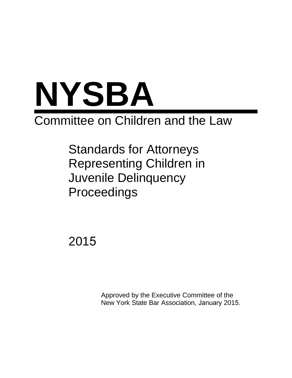

# Committee on Children and the Law

Standards for Attorneys Representing Children in Juvenile Delinquency Proceedings

2015

Approved by the Executive Committee of the New York State Bar Association, January 2015.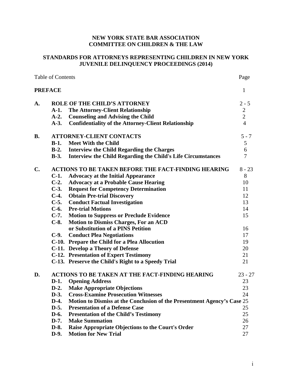# **NEW YORK STATE BAR ASSOCIATION COMMITTEE ON CHILDREN & THE LAW**

# **STANDARDS FOR ATTORNEYS REPRESENTING CHILDREN IN NEW YORK JUVENILE DELINQUENCY PROCEEDINGS (2014)**

| <b>Table of Contents</b> |                                 |                                                                         | Page           |
|--------------------------|---------------------------------|-------------------------------------------------------------------------|----------------|
| <b>PREFACE</b>           |                                 |                                                                         | $\mathbf{1}$   |
| A.                       |                                 | <b>ROLE OF THE CHILD'S ATTORNEY</b>                                     | $2 - 5$        |
|                          | $A-1.$                          | <b>The Attorney-Client Relationship</b>                                 | $\overline{2}$ |
|                          | $A-2.$                          | <b>Counseling and Advising the Child</b>                                | $\overline{2}$ |
|                          | $A-3.$                          | <b>Confidentiality of the Attorney-Client Relationship</b>              | $\overline{4}$ |
| <b>B.</b>                | <b>ATTORNEY-CLIENT CONTACTS</b> |                                                                         | $5 - 7$        |
|                          | $B-1.$                          | <b>Meet With the Child</b>                                              | 5              |
|                          | $B-2$ .                         | <b>Interview the Child Regarding the Charges</b>                        | 6              |
|                          | $B-3.$                          | <b>Interview the Child Regarding the Child's Life Circumstances</b>     | 7              |
| $\mathbf{C}$ .           |                                 | <b>ACTIONS TO BE TAKEN BEFORE THE FACT-FINDING HEARING</b>              | $8 - 23$       |
|                          | $C-1.$                          | <b>Advocacy at the Initial Appearance</b>                               | 8              |
|                          | $C-2$ .                         | <b>Advocacy at a Probable Cause Hearing</b>                             | 10             |
|                          | $C-3.$                          | <b>Request for Competency Determination</b>                             | 11             |
|                          | $C-4.$                          | <b>Obtain Pre-trial Discovery</b>                                       | 12             |
|                          | $C-5.$                          | <b>Conduct Factual Investigation</b>                                    | 13             |
|                          | $C-6.$                          | <b>Pre-trial Motions</b>                                                | 14             |
|                          | $C-7.$                          | <b>Motion to Suppress or Preclude Evidence</b>                          | 15             |
|                          | $C-8.$                          | <b>Motion to Dismiss Charges, For an ACD</b>                            |                |
|                          |                                 | or Substitution of a PINS Petition                                      | 16             |
|                          | $C-9.$                          | <b>Conduct Plea Negotiations</b>                                        | 17             |
|                          |                                 | C-10. Prepare the Child for a Plea Allocution                           | 19             |
|                          |                                 | C-11. Develop a Theory of Defense                                       | 20             |
|                          |                                 | <b>C-12. Presentation of Expert Testimony</b>                           | 21             |
|                          |                                 | C-13. Preserve the Child's Right to a Speedy Trial                      | 21             |
| D.                       |                                 | <b>ACTIONS TO BE TAKEN AT THE FACT-FINDING HEARING</b>                  | $23 - 27$      |
|                          | $D-1.$                          | <b>Opening Address</b>                                                  | 23             |
|                          |                                 | D-2. Make Appropriate Objections                                        | 23             |
|                          | $D-3.$                          | <b>Cross-Examine Prosecution Witnesses</b>                              | 24             |
|                          | $D-4.$                          | Motion to Dismiss at the Conclusion of the Presentment Agency's Case 25 |                |
|                          | $D-5.$                          | <b>Presentation of a Defense Case</b>                                   | 25             |
|                          | D-6.                            | <b>Presentation of the Child's Testimony</b>                            | 25             |
|                          | $D-7.$                          | <b>Make Summation</b>                                                   | 26             |
|                          | $D-8.$                          | Raise Appropriate Objections to the Court's Order                       | 27             |
|                          | D-9.                            | <b>Motion for New Trial</b>                                             | 27             |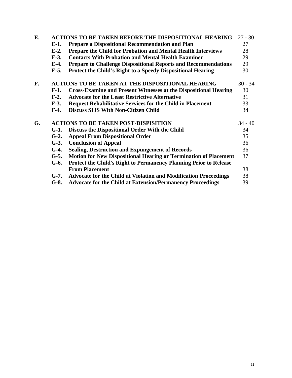| E. |                                                         | <b>ACTIONS TO BE TAKEN BEFORE THE DISPOSITIONAL HEARING</b>              | $27 - 30$ |
|----|---------------------------------------------------------|--------------------------------------------------------------------------|-----------|
|    | $E-1.$                                                  | <b>Prepare a Dispositional Recommendation and Plan</b>                   | 27        |
|    | $E-2$ .                                                 | <b>Prepare the Child for Probation and Mental Health Interviews</b>      | 28        |
|    | $E-3$ .                                                 | <b>Contacts With Probation and Mental Health Examiner</b>                | 29        |
|    | $E-4.$                                                  | <b>Prepare to Challenge Dispositional Reports and Recommendations</b>    | 29        |
|    | $E-5.$                                                  | <b>Protect the Child's Right to a Speedy Dispositional Hearing</b>       | 30        |
| F. | <b>ACTIONS TO BE TAKEN AT THE DISPOSITIONAL HEARING</b> |                                                                          |           |
|    | $F-1.$                                                  | <b>Cross-Examine and Present Witnesses at the Dispositional Hearing</b>  | 30        |
|    | $F-2$ .                                                 | <b>Advocate for the Least Restrictive Alternative</b>                    | 31        |
|    | $F-3.$                                                  | <b>Request Rehabilitative Services for the Child in Placement</b>        | 33        |
|    | $F-4.$                                                  | <b>Discuss SIJS With Non-Citizen Child</b>                               | 34        |
| G. | <b>ACTIONS TO BE TAKEN POST-DISPISITION</b>             |                                                                          |           |
|    | $G-1.$                                                  | Discuss the Dispositional Order With the Child                           | 34        |
|    | $G-2$ .                                                 | <b>Appeal From Dispositional Order</b>                                   | 35        |
|    | $G-3$ .                                                 | <b>Conclusion of Appeal</b>                                              | 36        |
|    | $G-4.$                                                  | <b>Sealing, Destruction and Expungement of Records</b>                   | 36        |
|    | $G-5.$                                                  | <b>Motion for New Dispositional Hearing or Termination of Placement</b>  | 37        |
|    | $G-6.$                                                  | <b>Protect the Child's Right to Permanency Planning Prior to Release</b> |           |
|    |                                                         | <b>From Placement</b>                                                    | 38        |
|    | $G-7.$                                                  | <b>Advocate for the Child at Violation and Modification Proceedings</b>  | 38        |
|    | $G-8.$                                                  | <b>Advocate for the Child at Extension/Permanency Proceedings</b>        | 39        |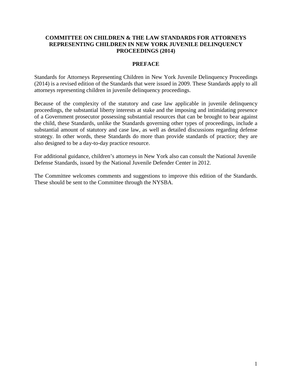# **COMMITTEE ON CHILDREN & THE LAW STANDARDS FOR ATTORNEYS REPRESENTING CHILDREN IN NEW YORK JUVENILE DELINQUENCY PROCEEDINGS (2014)**

# **PREFACE**

Standards for Attorneys Representing Children in New York Juvenile Delinquency Proceedings (2014) is a revised edition of the Standards that were issued in 2009. These Standards apply to all attorneys representing children in juvenile delinquency proceedings.

Because of the complexity of the statutory and case law applicable in juvenile delinquency proceedings, the substantial liberty interests at stake and the imposing and intimidating presence of a Government prosecutor possessing substantial resources that can be brought to bear against the child, these Standards, unlike the Standards governing other types of proceedings, include a substantial amount of statutory and case law, as well as detailed discussions regarding defense strategy. In other words, these Standards do more than provide standards of practice; they are also designed to be a day-to-day practice resource.

For additional guidance, children's attorneys in New York also can consult the National Juvenile Defense Standards, issued by the National Juvenile Defender Center in 2012.

The Committee welcomes comments and suggestions to improve this edition of the Standards. These should be sent to the Committee through the NYSBA.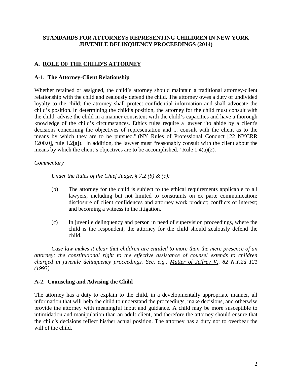# **STANDARDS FOR ATTORNEYS REPRESENTING CHILDREN IN NEW YORK JUVENILE DELINQUENCY PROCEEDINGS (2014)**

# **A. ROLE OF THE CHILD'S ATTORNEY**

#### **A-1. The Attorney-Client Relationship**

Whether retained or assigned, the child's attorney should maintain a traditional attorney-client relationship with the child and zealously defend the child. The attorney owes a duty of undivided loyalty to the child; the attorney shall protect confidential information and shall advocate the child's position. In determining the child's position, the attorney for the child must consult with the child, advise the child in a manner consistent with the child's capacities and have a thorough knowledge of the child's circumstances. Ethics rules require a lawyer "to abide by a client's decisions concerning the objectives of representation and ... consult with the client as to the means by which they are to be pursued." (NY Rules of Professional Conduct [22 NYCRR 1200.0], rule 1.2[a]).In addition, the lawyer must "reasonably consult with the client about the means by which the client's objectives are to be accomplished." Rule 1.4(a)(2).

#### *Commentary*

*Under the Rules of the Chief Judge, § 7.2 (b) & (c):*

- (b) The attorney for the child is subject to the ethical requirements applicable to all lawyers, including but not limited to constraints on ex parte communication; disclosure of client confidences and attorney work product; conflicts of interest; and becoming a witness in the litigation.
- (c) In juvenile delinquency and person in need of supervision proceedings, where the child is the respondent, the attorney for the child should zealously defend the child.

*Case law makes it clear that children are entitled to more than the mere presence of an attorney; the constitutional right to the effective assistance of counsel extends to children charged in juvenile delinquency proceedings. See, e.g., Matter of Jeffrey V., 82 N.Y.2d 121 (1993).* 

#### **A-2. Counseling and Advising the Child**

The attorney has a duty to explain to the child, in a developmentally appropriate manner, all information that will help the child to understand the proceedings, make decisions, and otherwise provide the attorney with meaningful input and guidance. A child may be more susceptible to intimidation and manipulation than an adult client, and therefore the attorney should ensure that the child's decisions reflect his/her actual position. The attorney has a duty not to overbear the will of the child.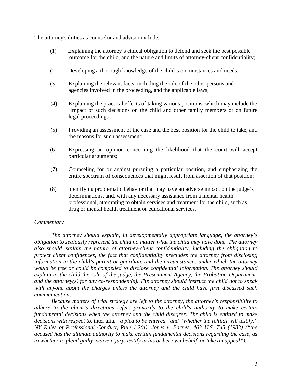The attorney's duties as counselor and advisor include:

- (1) Explaining the attorney's ethical obligation to defend and seek the best possible outcome for the child, and the nature and limits of attorney-client confidentiality;
- (2) Developing a thorough knowledge of the child's circumstances and needs;
- (3) Explaining the relevant facts, including the role of the other persons and agencies involved in the proceeding, and the applicable laws;
- (4) Explaining the practical effects of taking various positions, which may include the impact of such decisions on the child and other family members or on future legal proceedings;
- (5) Providing an assessment of the case and the best position for the child to take, and the reasons for such assessment;
- (6) Expressing an opinion concerning the likelihood that the court will accept particular arguments;
- (7) Counseling for or against pursuing a particular position, and emphasizing the entire spectrum of consequences that might result from assertion of that position;
- (8) Identifying problematic behavior that may have an adverse impact on the judge's determinations, and, with any necessary assistance from a mental health professional, attempting to obtain services and treatment for the child, such as drug or mental health treatment or educational services.

# *Commentary*

*The attorney should explain, in developmentally appropriate language, the attorney's obligation to zealously represent the child no matter what the child may have done. The attorney also should explain the nature of attorney-client confidentiality, including the obligation to protect client confidences, the fact that confidentiality precludes the attorney from disclosing information to the child's parent or guardian, and the circumstances under which the attorney would be free or could be compelled to disclose confidential information. The attorney should explain to the child the role of the judge, the Presentment Agency, the Probation Department, and the attorney(s) for any co-respondent(s). The attorney should instruct the child not to speak with anyone about the charges unless the attorney and the child have first discussed such communications.* 

*Because matters of trial strategy are left to the attorney, the attorney's responsibility to adhere to the client's directions refers primarily to the child's authority to make certain fundamental decisions when the attorney and the child disagree. The child is entitled to make decisions with respect to,* inter alia*, "a plea to be entered" and "whether the [child] will testify." NY Rules of Professional Conduct, Rule 1.2(a)*; *Jones v. Barnes, 463 U.S. 745 (1983) ("the accused has the ultimate authority to make certain fundamental decisions regarding the case, as to whether to plead guilty, waive a jury, testify in his or her own behalf, or take an appeal").*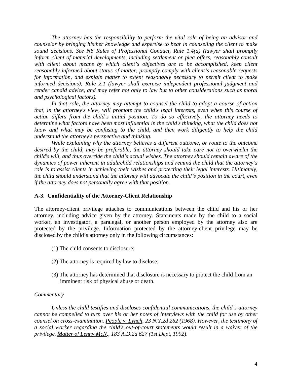*The attorney has the responsibility to perform the vital role of being an advisor and counselor by bringing his/her knowledge and expertise to bear in counseling the client to make sound decisions. See NY Rules of Professional Conduct, Rule 1.4(a) (lawyer shall promptly inform client of material developments, including settlement or plea offers, reasonably consult with client about means by which client's objectives are to be accomplished, keep client reasonably informed about status of matter, promptly comply with client's reasonable requests for information, and explain matter to extent reasonably necessary to permit client to make informed decisions); Rule 2.1 (lawyer shall exercise independent professional judgment and render candid advice, and may refer not only to law but to other considerations such as moral and psychological factors).* 

*In that role, the attorney may attempt to counsel the child to adopt a course of action that, in the attorney's view, will promote the child's legal interests, even when this course of action differs from the child's initial position. To do so effectively, the attorney needs to determine what factors have been most influential in the child's thinking, what the child does not know and what may be confusing to the child, and then work diligently to help the child understand the attorney's perspective and thinking.* 

*While explaining why the attorney believes a different outcome, or route to the outcome desired by the child, may be preferable, the attorney should take care not to overwhelm the child's will, and thus override the child's actual wishes. The attorney should remain aware of the dynamics of power inherent in adult/child relationships and remind the child that the attorney's role is to assist clients in achieving their wishes and protecting their legal interests. Ultimately, the child should understand that the attorney will advocate the child's position in the court, even if the attorney does not personally agree with that position.* 

# **A-3. Confidentiality of the Attorney-Client Relationship**

The attorney-client privilege attaches to communications between the child and his or her attorney, including advice given by the attorney. Statements made by the child to a social worker, an investigator, a paralegal, or another person employed by the attorney also are protected by the privilege. Information protected by the attorney-client privilege may be disclosed by the child's attorney only in the following circumstances:

- (1) The child consents to disclosure;
- (2) The attorney is required by law to disclose;
- (3) The attorney has determined that disclosure is necessary to protect the child from an imminent risk of physical abuse or death.

# *Commentary*

*Unless the child testifies and discloses confidential communications, the child's attorney cannot be compelled to turn over his or her notes of interviews with the child for use by other counsel on cross-examination. People v. Lynch, 23 N.Y.2d 262 (1968). However, the testimony of a social worker regarding the child's out-of-court statements would result in a waiver of the privilege. Matter of Lenny McN., 183 A.D.2d 627 (1st Dept, 1992*).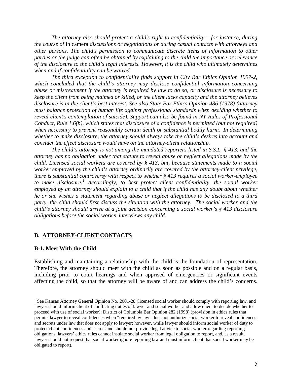*The attorney also should protect a child's right to confidentiality – for instance, during the course of* in camera *discussions or negotiations or during casual contacts with attorneys and other persons. The child's permission to communicate discrete items of information to other parties or the judge can often be obtained by explaining to the child the importance or relevance of the disclosure to the child's legal interests. However, it is the child who ultimately determines when and if confidentiality can be waived.* 

*The third exception to confidentiality finds support in City Bar Ethics Opinion 1997-2, which concluded that the child's attorney may disclose confidential information concerning abuse or mistreatment if the attorney is required by law to do so, or disclosure is necessary to keep the client from being maimed or killed, or the client lacks capacity and the attorney believes disclosure is in the client's best interest. See also State Bar Ethics Opinion 486 (1978) (attorney must balance protection of human life against professional standards when deciding whether to reveal client's contemplation of suicide). Support can also be found in NY Rules of Professional Conduct, Rule 1.6(b), which states that disclosure of a confidence is permitted (but not required) when necessary to prevent reasonably certain death or substantial bodily harm. In determining whether to make disclosure, the attorney should always take the child's desires into account and consider the effect disclosure would have on the attorney-client relationship.*

*The child's attorney is not among the mandated reporters listed in S.S.L. § 413, and the attorney has no obligation under that statute to reveal abuse or neglect allegations made by the child. Licensed social workers are covered by § 413, but, because statements made to a social worker employed by the child's attorney ordinarily are covered by the attorney-client privilege, there is substantial controversy with respect to whether § 413 requires a social worker-employee to make disclosure.[1](#page-8-0) Accordingly, to best protect client confidentiality, the social worker employed by an attorney should explain to a child that if the child has any doubt about whether he or she wishes a statement regarding abuse or neglect allegations to be disclosed to a third party, the child should first discuss the situation with the attorney. The social worker and the child's attorney should arrive at a joint decision concerning a social worker's § 413 disclosure obligations before the social worker interviews any child.* 

#### **B. ATTORNEY-CLIENT CONTACTS**

#### **B-1. Meet With the Child**

Establishing and maintaining a relationship with the child is the foundation of representation. Therefore, the attorney should meet with the child as soon as possible and on a regular basis, including prior to court hearings and when apprised of emergencies or significant events affecting the child, so that the attorney will be aware of and can address the child's concerns.

<span id="page-8-0"></span><sup>&</sup>lt;sup>1</sup> See Kansas Attorney General Opinion No. 2001-28 (licensed social worker should comply with reporting law, and lawyer should inform client of conflicting duties of lawyer and social worker and allow client to decide whether to proceed with use of social worker); District of Columbia Bar Opinion 282 (1998) (provision in ethics rules that permits lawyer to reveal confidences when "required by law" does not authorize social worker to reveal confidences and secrets under law that does not apply to lawyer; however, while lawyer should inform social worker of duty to protect client confidences and secrets and should not provide legal advice to social worker regarding reporting obligations, lawyers' ethics rules cannot insulate social worker from legal obligation to report, and, as a result, lawyer should not request that social worker ignore reporting law and must inform client that social worker may be obligated to report).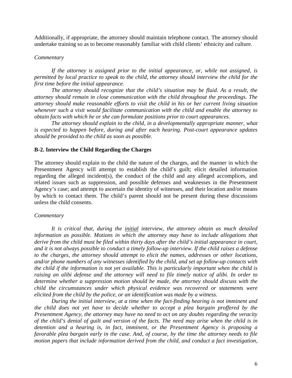Additionally, if appropriate, the attorney should maintain telephone contact. The attorney should undertake training so as to become reasonably familiar with child clients' ethnicity and culture.

#### *Commentary*

*If the attorney is assigned prior to the initial appearance, or, while not assigned, is permitted by local practice to speak to the child, the attorney should interview the child for the first time before the initial appearance.* 

*The attorney should recognize that the child's situation may be fluid. As a result, the attorney should remain in close communication with the child throughout the proceedings. The attorney should make reasonable efforts to visit the child in his or her current living situation whenever such a visit would facilitate communication with the child and enable the attorney to obtain facts with which he or she can formulate positions prior to court appearances.* 

*The attorney should explain to the child, in a developmentally appropriate manner, what is expected to happen before, during and after each hearing. Post-court appearance updates should be provided to the child as soon as possible.* 

#### **B-2. Interview the Child Regarding the Charges**

The attorney should explain to the child the nature of the charges, and the manner in which the Presentment Agency will attempt to establish the child's guilt; elicit detailed information regarding the alleged incident(s), the conduct of the child and any alleged accomplices, and related issues such as suppression, and possible defenses and weaknesses in the Presentment Agency's case; and attempt to ascertain the identity of witnesses, and their location and/or means by which to contact them. The child's parent should not be present during these discussions unless the child consents.

#### *Commentary*

*It is critical that, during the initial interview, the attorney obtain as much detailed information as possible. Motions in which the attorney may have to include allegations that derive from the child must be filed within thirty days after the child's initial appearance in court, and it is not always possible to conduct a timely follow-up interview. If the child raises a defense to the charges, the attorney should attempt to elicit the names, addresses or other locations, and/or phone numbers of any witnesses identified by the child, and set up follow-up contacts with the child if the information is not yet available. This is particularly important when the child is raising an alibi defense and the attorney will need to file timely notice of alibi. In order to determine whether a suppression motion should be made, the attorney should discuss with the child the circumstances under which physical evidence was recovered or statements were elicited from the child by the police, or an identification was made by a witness.* 

*During the initial interview, at a time when the fact-finding hearing is not imminent and the child does not yet have to decide whether to accept a plea bargain proffered by the Presentment Agency, the attorney may have no need to act on any doubts regarding the veracity of the child's denial of guilt and version of the facts. The need may arise when the child is in detention and a hearing is, in fact, imminent, or the Presentment Agency is proposing a favorable plea bargain early in the case. And, of course, by the time the attorney needs to file motion papers that include information derived from the child, and conduct a fact investigation,*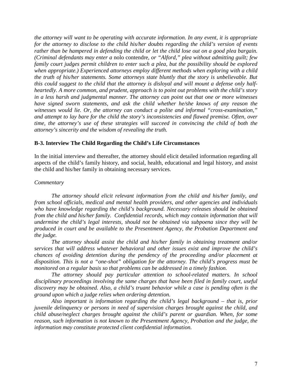*the attorney will want to be operating with accurate information. In any event, it is appropriate for the attorney to disclose to the child his/her doubts regarding the child's version of events rather than be hampered in defending the child or let the child lose out on a good plea bargain. (Criminal defendants may enter a* nolo contendre*, or "Alford," plea without admitting guilt; few family court judges permit children to enter such a plea, but the possibility should be explored when appropriate.) Experienced attorneys employ different methods when exploring with a child the truth of his/her statements. Some attorneys state bluntly that the story is unbelievable. But this could suggest to the child that the attorney is disloyal and will mount a defense only halfheartedly. A more common, and prudent, approach is to point out problems with the child's story in a less harsh and judgmental manner. The attorney can point out that one or more witnesses have signed sworn statements, and ask the child whether he/she knows of any reason the witnesses would lie. Or, the attorney can conduct a polite and informal "cross-examination," and attempt to lay bare for the child the story's inconsistencies and flawed premise. Often, over time, the attorney's use of these strategies will succeed in convincing the child of both the attorney's sincerity and the wisdom of revealing the truth.* 

# **B-3. Interview The Child Regarding the Child's Life Circumstances**

In the initial interview and thereafter, the attorney should elicit detailed information regarding all aspects of the child's family history, and social, health, educational and legal history, and assist the child and his/her family in obtaining necessary services.

#### *Commentary*

*The attorney should elicit relevant information from the child and his/her family, and from school officials, medical and mental health providers, and other agencies and individuals who have knowledge regarding the child's background. Necessary releases should be obtained from the child and his/her family. Confidential records, which may contain information that will undermine the child's legal interests, should not be obtained via subpoena since they will be produced in court and be available to the Presentment Agency, the Probation Department and the judge.* 

*The attorney should assist the child and his/her family in obtaining treatment and/or services that will address whatever behavioral and other issues exist and improve the child's chances of avoiding detention during the pendency of the proceeding and/or placement at disposition. This is not a "one-shot" obligation for the attorney. The child's progress must be monitored on a regular basis so that problems can be addressed in a timely fashion.* 

*The attorney should pay particular attention to school-related matters. In school disciplinary proceedings involving the same charges that have been filed in family court, useful discovery may be obtained. Also, a child's truant behavior while a case is pending often is the ground upon which a judge relies when ordering detention.* 

*Also important is information regarding the child's legal background – that is, prior juvenile delinquency or persons in need of supervision charges brought against the child, and child abuse/neglect charges brought against the child's parent or guardian. When, for some reason, such information is not known to the Presentment Agency, Probation and the judge, the information may constitute protected client confidential information.*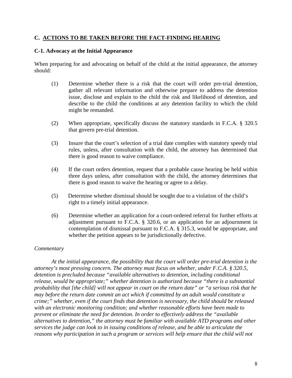# **C. ACTIONS TO BE TAKEN BEFORE THE FACT-FINDING HEARING**

# **C-1. Advocacy at the Initial Appearance**

When preparing for and advocating on behalf of the child at the initial appearance, the attorney should:

- (1) Determine whether there is a risk that the court will order pre-trial detention, gather all relevant information and otherwise prepare to address the detention issue, disclose and explain to the child the risk and likelihood of detention, and describe to the child the conditions at any detention facility to which the child might be remanded.
- (2) When appropriate, specifically discuss the statutory standards in F.C.A. § 320.5 that govern pre-trial detention.
- (3) Insure that the court's selection of a trial date complies with statutory speedy trial rules, unless, after consultation with the child, the attorney has determined that there is good reason to waive compliance.
- (4) If the court orders detention, request that a probable cause hearing be held within three days unless, after consultation with the child, the attorney determines that there is good reason to waive the hearing or agree to a delay.
- (5) Determine whether dismissal should be sought due to a violation of the child's right to a timely initial appearance.
- (6) Determine whether an application for a court-ordered referral for further efforts at adjustment pursuant to F.C.A. § 320.6, or an application for an adjournment in contemplation of dismissal pursuant to F.C.A. § 315.3, would be appropriate, and whether the petition appears to be jurisdictionally defective.

# *Commentary*

*At the initial appearance, the possibility that the court will order pre-trial detention is the attorney's most pressing concern. The attorney must focus on whether, under F.C.A. § 320.5, detention is precluded because "available alternatives to detention, including conditional release, would be appropriate;" whether detention is authorized because "there is a substantial probability that [the child] will not appear in court on the return date" or "a serious risk that he may before the return date commit an act which if committed by an adult would constitute a crime;" whether, even if the court finds that detention is necessary, the child should be released with an electronic monitoring condition; and whether reasonable efforts have been made to prevent or eliminate the need for detention. In order to effectively address the "available alternatives to detention," the attorney must be familiar with available ATD programs and other services the judge can look to in issuing conditions of release, and be able to articulate the reasons why participation in such a program or services will help ensure that the child will not*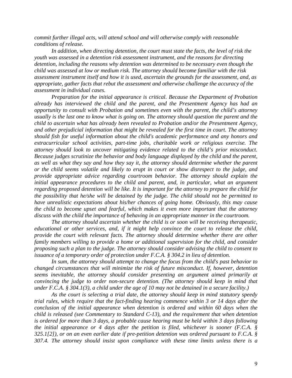*commit further illegal acts, will attend school and will otherwise comply with reasonable conditions of release.* 

 *In addition, when directing detention, the court must state the facts, the level of risk the youth was assessed in a detention risk assessment instrument, and the reasons for directing detention, including the reasons why detention was determined to be necessary even though the child was assessed at low or medium risk. The attorney should become familiar with the risk assessment instrument itself and how it is used, ascertain the grounds for the assessment, and, as appropriate, gather facts that rebut the assessment and otherwise challenge the accuracy of the assessment in individual cases.* 

*Preparation for the initial appearance is critical. Because the Department of Probation already has interviewed the child and the parent, and the Presentment Agency has had an opportunity to consult with Probation and sometimes even with the parent, the child's attorney usually is the last one to know what is going on. The attorney should question the parent and the child to ascertain what has already been revealed to Probation and/or the Presentment Agency, and other prejudicial information that might be revealed for the first time in court. The attorney should fish for useful information about the child's academic performance and any honors and extracurricular school activities, part-time jobs, charitable work or religious exercise. The attorney should look to uncover mitigating evidence related to the child's prior misconduct. Because judges scrutinize the behavior and body language displayed by the child and the parent, as well as what they say and how they say it, the attorney should determine whether the parent or the child seems volatile and likely to erupt in court or show disrespect to the judge, and provide appropriate advice regarding courtroom behavior. The attorney should explain the initial appearance procedures to the child and parent, and, in particular, what an argument regarding proposed detention will be like. It is important for the attorney to prepare the child for the possibility that he/she will be detained by the judge. The child should not be permitted to have unrealistic expectations about his/her chances of going home. Obviously, this may cause the child to become upset and fearful, which makes it even more important that the attorney discuss with the child the importance of behaving in an appropriate manner in the courtroom.* 

*The attorney should ascertain whether the child is or soon will be receiving therapeutic, educational or other services, and, if it might help convince the court to release the child, provide the court with relevant facts. The attorney should determine whether there are other family members willing to provide a home or additional supervision for the child, and consider proposing such a plan to the judge. The attorney should consider advising the child to consent to issuance of a temporary order of protection under F.C.A. § 304.2 in lieu of detention.* 

*In sum, the attorney should attempt to change the focus from the child's past behavior to changed circumstances that will minimize the risk of future misconduct. If, however, detention seems inevitable, the attorney should consider presenting an argument aimed primarily at convincing the judge to order non-secure detention. (The attorney should keep in mind that under F.C.A. § 304.1(3), a child under the age of 10 may not be detained in a secure facility.)* 

*As the court is selecting a trial date, the attorney should keep in mind statutory speedy trial rules, which require that the fact-finding hearing commence within 3 or 14 days after the conclusion of the initial appearance when detention is ordered and within 60 days when the child is released (see Commentary to Standard C-13), and the requirement that when detention is ordered for more than 3 days, a probable cause hearing must be held within 3 days following the initial appearance or 4 days after the petition is filed, whichever is sooner (F.C.A. § 325.1[2]), or on an even earlier date if pre-petition detention was ordered pursuant to F.C.A. § 307.4. The attorney should insist upon compliance with these time limits unless there is a*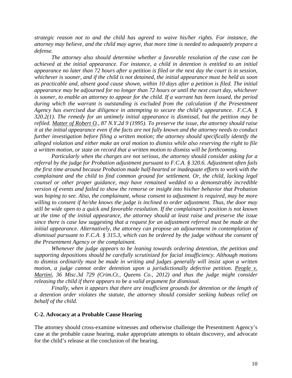*strategic reason not to and the child has agreed to waive his/her rights. For instance, the attorney may believe, and the child may agree, that more time is needed to adequately prepare a defense.* 

*The attorney also should determine whether a favorable resolution of the case can be achieved at the initial appearance. For instance, a child in detention is entitled to an initial appearance no later than 72 hours after a petition is filed or the next day the court is in session, whichever is sooner, and if the child is not detained, the initial appearance must be held as soon as practicable and, absent good cause shown, within 10 days after a petition is filed. The initial appearance may be adjourned for no longer than 72 hours or until the next court day, whichever is sooner, to enable an attorney to appear for the child. If a warrant has been issued, the period*  during which the warrant is outstanding is excluded from the calculation if the Presentment *Agency has exercised due diligence in attempting to secure the child's appearance. F.C.A. § 320.2(1). The remedy for an untimely initial appearance is dismissal, but the petition may be refiled. Matter of Robert O., 87 N.Y.2d 9 (1995). To preserve the issue, the attorney should raise it at the initial appearance even if the facts are not fully known and the attorney needs to conduct further investigation before filing a written motion; the attorney should specifically identify the alleged violation and either make an oral motion to dismiss while also reserving the right to file a written motion, or state on record that a written motion to dismiss will be forthcoming.* 

*Particularly when the charges are not serious, the attorney should consider asking for a referral by the judge for Probation adjustment pursuant to F.C.A. § 320.6. Adjustment often fails the first time around because Probation made half-hearted or inadequate efforts to work with the complainant and the child to find common ground for settlement. Or, the child, lacking legal counsel or other proper guidance, may have remained wedded to a demonstrably incredible version of events and failed to show the remorse or insight into his/her behavior that Probation was hoping to see. Also, the complainant, whose consent to adjustment is required, may be more willing to consent if he/she knows the judge is inclined to order adjustment. Thus, the door may still be wide open to a quick and favorable resolution. If the complainant's position is not known at the time of the initial appearance, the attorney should at least raise and preserve the issue since there is case law suggesting that a request for an adjustment referral must be made at the initial appearance. Alternatively, the attorney can propose an adjournment in contemplation of dismissal pursuant to F.C.A. § 315.3, which can be ordered by the judge without the consent of the Presentment Agency or the complainant.* 

*Whenever the judge appears to be leaning towards ordering detention, the petition and supporting depositions should be carefully scrutinized for facial insufficiency. Although motions to dismiss ordinarily must be made in writing and judges generally will insist upon a written*  motion, a judge cannot order detention upon a jurisdictionally defective petition. People v. *Martini, 36 Misc.3d 729 (Crim.Ct., Queens Co., 2012) and thus the judge might consider releasing the child if there appears to be a valid argument for dismissal.* 

*Finally, when it appears that there are insufficient grounds for detention or the length of a detention order violates the statute, the attorney should consider seeking habeas relief on behalf of the child.* 

#### **C-2. Advocacy at a Probable Cause Hearing**

The attorney should cross-examine witnesses and otherwise challenge the Presentment Agency's case at the probable cause hearing, make appropriate attempts to obtain discovery, and advocate for the child's release at the conclusion of the hearing.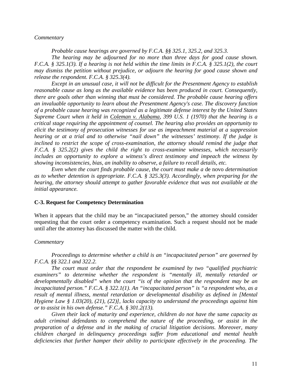#### *Commentary*

*Probable cause hearings are governed by F.C.A. §§ 325.1, 325.2, and 325.3.* 

*The hearing may be adjourned for no more than three days for good cause shown. F.C.A. § 325.1(3). If a hearing is not held within the time limits in F.C.A. § 325.1(2), the court may dismiss the petition without prejudice, or adjourn the hearing for good cause shown and release the respondent. F.C.A. § 325.3(4).* 

*Except in an unusual case, it will not be difficult for the Presentment Agency to establish reasonable cause as long as the available evidence has been produced in court. Consequently, there are goals other than winning that must be considered. The probable cause hearing offers an invaluable opportunity to learn about the Presentment Agency's case. The discovery function of a probable cause hearing was recognized as a legitimate defense interest by the United States Supreme Court when it held in Coleman v. Alabama, 399 U.S. 1 (1970) that the hearing is a critical stage requiring the appointment of counsel. The hearing also provides an opportunity to elicit the testimony of prosecution witnesses for use as impeachment material at a suppression hearing or at a trial and to otherwise "nail down" the witnesses' testimony. If the judge is*  inclined to restrict the scope of cross-examination, the attorney should remind the judge that *F.C.A. § 325.2(2) gives the child the right to cross-examine witnesses, which necessarily includes an opportunity to explore a witness's direct testimony and impeach the witness by showing inconsistencies, bias, an inability to observe, a failure to recall details, etc.* 

*Even when the court finds probable cause, the court must make a* de novo *determination as to whether detention is appropriate. F.C.A. § 325.3(3). Accordingly, when preparing for the hearing, the attorney should attempt to gather favorable evidence that was not available at the initial appearance.* 

#### **C-3. Request for Competency Determination**

When it appears that the child may be an "incapacitated person," the attorney should consider requesting that the court order a competency examination. Such a request should not be made until after the attorney has discussed the matter with the child.

#### *Commentary*

*Proceedings to determine whether a child is an "incapacitated person" are governed by F.C.A. §§ 322.1 and 322.2.* 

*The court must order that the respondent be examined by two "qualified psychiatric examiners" to determine whether the respondent is "mentally ill, mentally retarded or developmentally disabled" when the court "is of the opinion that the respondent may be an incapacitated person." F.C.A. § 322.1(1). An "incapacitated person" is "a respondent who, as a result of mental illness, mental retardation or developmental disability as defined in [Mental Hygiene Law § 1.03(20), (21), (22)], lacks capacity to understand the proceedings against him or to assist in his own defense." F.C.A. § 301.2(13).* 

*Given their lack of maturity and experience, children do not have the same capacity as adult criminal defendants to comprehend the nature of the proceeding, or assist in the preparation of a defense and in the making of crucial litigation decisions. Moreover, many children charged in delinquency proceedings suffer from educational and mental health deficiencies that further hamper their ability to participate effectively in the proceeding. The*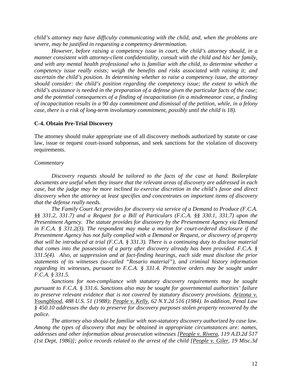*child's attorney may have difficulty communicating with the child, and, when the problems are severe, may be justified in requesting a competency determination.* 

*However, before raising a competency issue in court, the child's attorney should, in a manner consistent with attorney-client confidentiality, consult with the child and his/ her family, and with any mental health professional who is familiar with the child, to determine whether a competency issue really exists; weigh the benefits and risks associated with raising it; and ascertain the child's position. In determining whether to raise a competency issue, the attorney should consider: the child's position regarding the competency issue; the extent to which the child's assistance is needed in the preparation of a defense given the particular facts of the case; and the potential consequences of a finding of incapacitation (in a misdemeanor case, a finding of incapacitation results in a 90 day commitment and dismissal of the petition, while, in a felony case, there is a risk of long-term involuntary commitment, possibly until the child is 18).*

#### **C-4. Obtain Pre-Trial Discovery**

The attorney should make appropriate use of all discovery methods authorized by statute or case law, issue or request court-issued subpoenas, and seek sanctions for the violation of discovery requirements.

#### *Commentary*

*Discovery requests should be tailored to the facts of the case at hand. Boilerplate documents are useful when they insure that the relevant areas of discovery are addressed in each case, but the judge may be more inclined to exercise discretion in the child's favor and direct discovery when the attorney at least specifies and concentrates on important items of discovery that the defense really needs.* 

*The Family Court Act provides for discovery via service of a Demand to Produce (F.C.A. §§ 331.2, 331.7) and a Request for a Bill of Particulars (F.C.A. §§ 330.1, 331.7) upon the Presentment Agency. The statute provides for discovery by the Presentment Agency via Demand in F.C.A. § 331.2(3). The respondent may make a motion for court-ordered disclosure if the Presentment Agency has not fully complied with a Demand or Request, or discovery of property that will be introduced at trial (F.C.A. § 331.3). There is a continuing duty to disclose material that comes into the possession of a party after discovery already has been provided. F.C.A. § 331.5(4). Also, at suppression and at fact-finding hearings, each side must disclose the prior statements of its witnesses (so-called "Rosario material"), and criminal history information regarding its witnesses, pursuant to F.C.A. § 331.4. Protective orders may be sought under F.C.A. § 331.5.* 

*Sanctions for non-compliance with statutory discovery requirements may be sought pursuant to F.C.A. § 331.6. Sanctions also may be sought for governmental authorities' failure to preserve relevant evidence that is not covered by statutory discovery provisions. Arizona v. Youngblood, 488 U.S. 51 (1988); People v. Kelly, 62 N.Y.2d 516 (1984). In addition, Penal Law § 450.10 addresses the duty to preserve for discovery purposes stolen property recovered by the police.* 

*The attorney also should be familiar with non-statutory discovery authorized by case law. Among the types of discovery that may be obtained in appropriate circumstances are: names, addresses and other information about prosecution witnesses [People v. Rivera, 119 A.D.2d 517 (1st Dept, 1986)]; police records related to the arrest of the child [People v. Giler, 19 Misc.3d*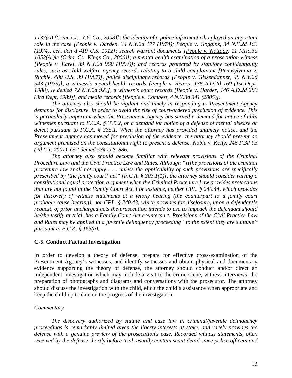*1137(A) (Crim. Ct., N.Y. Co., 2008)]; the identity of a police informant who played an important role in the case [People v. Darden, 34 N.Y.2d 177 (1974); People v. Goggins, 34 N.Y.2d 163 (1974), cert den'd 419 U.S. 1012]; search warrant documents [People v. Nottage, 11 Misc.3d 1052(A )ie (Crim. Ct., Kings Co., 2006)]; a mental health examination of a prosecution witness [People v. Earel, 89 N.Y.2d 960 (1997)]; and records protected by statutory confidentiality rules, such as child welfare agency records relating to a child complainant [Pennsylvania v. Ritchie, 480 U.S. 39 (1987)], police disciplinary records [People v. Gissendanner, 48 N.Y.2d 543 (1979)], a witness's mental health records [People v. Rivera, 138 A.D.2d 169 (1st Dept, 1988), lv denied 72 N.Y.2d 923], a witness's court records [People v. Harder, 146 A.D.2d 286 (3rd Dept, 1989)], and media records [People v. Combest, 4 N.Y.3d 341 (2005)].* 

*The attorney also should be vigilant and timely in responding to Presentment Agency demands for disclosure, in order to avoid the risk of court-ordered preclusion of evidence. This is particularly important when the Presentment Agency has served a demand for notice of alibi witnesses pursuant to F.C.A. § 335.2, or a demand for notice of a defense of mental disease or defect pursuant to F.C.A. § 335.1. When the attorney has provided untimely notice, and the Presentment Agency has moved for preclusion of the evidence, the attorney should present an argument premised on the constitutional right to present a defense. Noble v. Kelly, 246 F.3d 93 (2d Cir. 2001), cert denied 534 U.S. 886.* 

*The attorney also should become familiar with relevant provisions of the Criminal Procedure Law and the Civil Practice Law and Rules. Although "[t]he provisions of the criminal procedure law shall not apply . . . unless the applicability of such provisions are specifically prescribed by [the family court] act" [F.C.A. § 303.1(1)], the attorney should consider raising a constitutional equal protection argument when the Criminal Procedure Law provides protections that are not found in the Family Court Act. For instance, neither CPL. § 240.44, which provides*  for discovery of witness statements at a felony hearing (the counterpart to a family court *probable cause hearing), nor CPL. § 240.43, which provides for disclosure, upon a defendant's request, of prior uncharged acts the prosecution intends to use to impeach the defendant should he/she testify at trial, has a Family Court Act counterpart. Provisions of the Civil Practice Law and Rules may be applied in a juvenile delinquency proceeding "to the extent they are suitable" pursuant to F.C.A. § 165(a).* 

# **C-5. Conduct Factual Investigation**

In order to develop a theory of defense, prepare for effective cross-examination of the Presentment Agency's witnesses, and identify witnesses and obtain physical and documentary evidence supporting the theory of defense, the attorney should conduct and/or direct an independent investigation which may include a visit to the crime scene, witness interviews, the preparation of photographs and diagrams and conversations with the prosecutor. The attorney should discuss the investigation with the child, elicit the child's assistance when appropriate and keep the child up to date on the progress of the investigation.

# *Commentary*

*The discovery authorized by statute and case law in criminal/juvenile delinquency proceedings is remarkably limited given the liberty interests at stake, and rarely provides the defense with a genuine preview of the prosecution's case. Recorded witness statements, often received by the defense shortly before trial, usually contain scant detail since police officers and*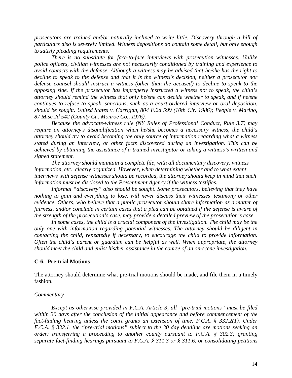*prosecutors are trained and/or naturally inclined to write little. Discovery through a bill of particulars also is severely limited. Witness depositions do contain some detail, but only enough to satisfy pleading requirements.* 

*There is no substitute for face-to-face interviews with prosecution witnesses. Unlike police officers, civilian witnesses are not necessarily conditioned by training and experience to avoid contacts with the defense. Although a witness may be advised that he/she has the right to decline to speak to the defense and that it is the witness's decision, neither a prosecutor nor defense counsel should instruct a witness (other than the accused) to decline to speak to the opposing side. If the prosecutor has improperly instructed a witness not to speak, the child's attorney should remind the witness that only he/she can decide whether to speak, and if he/she continues to refuse to speak, sanctions, such as a court-ordered interview or oral deposition, should be sought. United States v. Carrigan, 804 F.2d 599 (10th Cir. 1986); People v. Marino, 87 Misc.2d 542 (County Ct., Monroe Co., 1976).* 

*Because the advocate-witness rule (NY Rules of Professional Conduct, Rule 3.7) may require an attorney's disqualification when he/she becomes a necessary witness, the child's attorney should try to avoid becoming the only source of information regarding what a witness stated during an interview, or other facts discovered during an investigation. This can be achieved by obtaining the assistance of a trained investigator or taking a witness's written and signed statement.* 

*The attorney should maintain a complete file, with all documentary discovery, witness information, etc., clearly organized. However, when determining whether and to what extent interviews with defense witnesses should be recorded, the attorney should keep in mind that such information must be disclosed to the Presentment Agency if the witness testifies.* 

*Informal "discovery" also should be sought. Some prosecutors, believing that they have nothing to gain and everything to lose, will never discuss their witnesses' testimony or other evidence. Others, who believe that a public prosecutor should share information as a matter of fairness, and/or conclude in certain cases that a plea can be obtained if the defense is aware of the strength of the prosecution's case, may provide a detailed preview of the prosecution's case.* 

In some cases, the child is a crucial component of the investigation. The child may be the *only one with information regarding potential witnesses. The attorney should be diligent in contacting the child, repeatedly if necessary, to encourage the child to provide information. Often the child's parent or guardian can be helpful as well. When appropriate, the attorney should meet the child and enlist his/her assistance in the course of an on-scene investigation.* 

#### **C-6. Pre-trial Motions**

The attorney should determine what pre-trial motions should be made, and file them in a timely fashion.

#### *Commentary*

*Except as otherwise provided in F.C.A. Article 3, all "pre-trial motions" must be filed within 30 days after the conclusion of the initial appearance and before commencement of the fact-finding hearing unless the court grants an extension of time. F.C.A. § 332.2(1). Under F.C.A. § 332.1, the "pre-trial motions" subject to the 30 day deadline are motions seeking an order: transferring a proceeding to another county pursuant to F.C.A. § 302.3; granting separate fact-finding hearings pursuant to F.C.A. § 311.3 or § 311.6, or consolidating petitions*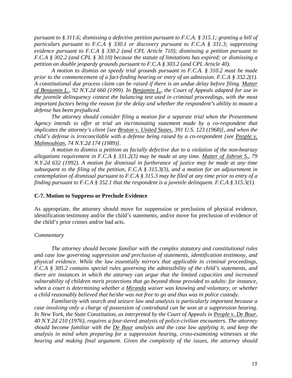*pursuant to § 311.6; dismissing a defective petition pursuant to F.C.A. § 315.1; granting a bill of particulars pursuant to F.C.A § 330.1 or discovery pursuant to F.C.A § 331.3; suppressing evidence pursuant to F.C.A § 330.2 (and CPL Article 710); dismissing a petition pursuant to F.C.A § 302.2 (and CPL § 30.10) because the statute of limitations has expired; or dismissing a petition on double jeopardy grounds pursuant to F.C.A § 303.2 (and CPL Article 40).* 

*A motion to dismiss on speedy trial grounds pursuant to F.C.A. § 310.2 must be made prior to the commencement of a fact-finding hearing or entry of an admission. F.C.A § 332.2(1). A constitutional due process claim can be raised if there is an undue delay before filing. Matter of Benjamin L., 92 N.Y.2d 660 (1999). In Benjamin L., the Court of Appeals adapted for use in the juvenile delinquency context the balancing test used in criminal proceedings, with the most important factors being the reason for the delay and whether the respondent's ability to mount a defense has been prejudiced.* 

*The attorney should consider filing a motion for a separate trial when the Presentment Agency intends to offer at trial an incriminating statement made by a co-respondent that implicates the attorney's client [see Bruton v. United States, 391 U.S. 123 (1968)], and when the child's defense is irreconcilable with a defense being raised by a co-respondent [see People v. Mahmoubian, 74 N.Y.2d 174 (1989)].* 

*A motion to dismiss a petition as facially defective due to a violation of the non-hearsay allegations requirement in F.C.A § 331.2(3) may be made at any time. Matter of Jahron S., 79 N.Y.2d 632 (1992). A motion for dismissal in furtherance of justice may be made at any time subsequent to the filing of the petition, F.C.A § 315.3(3), and a motion for an adjournment in contemplation of dismissal pursuant to F.C.A § 315.3 may be filed at any time prior to entry of a finding pursuant to F.C.A § 352.1 that the respondent is a juvenile delinquent. F.C.A § 315.3(1).* 

#### **C-7. Motion to Suppress or Preclude Evidence**

As appropriate, the attorney should move for suppression or preclusion of physical evidence, identification testimony and/or the child's statements, and/or move for preclusion of evidence of the child's prior crimes and/or bad acts.

# *Commentary*

*The attorney should become familiar with the complex statutory and constitutional rules and case law governing suppression and preclusion of statements, identification testimony, and physical evidence. While the law essentially mirrors that applicable in criminal proceedings, F.C.A § 305.2 contains special rules governing the admissibility of the child's statements, and there are instances in which the attorney can argue that the limited capacities and increased vulnerability of children merit protections that go beyond those provided to adults: for instance, when a court is determining whether a Miranda waiver was knowing and voluntary, or whether a child reasonably believed that he/she was not free to go and thus was in police custody.* 

*Familiarity with search and seizure law and analysis is particularly important because a case involving only a charge of possession of contraband can be won at a suppression hearing. In New York, the State Constitution, as interpreted by the Court of Appeals in People v. De Bour, 40 N.Y.2d 210 (1976), requires a four-tiered analysis of police-civilian encounters. The attorney should become familiar with the De Bour analysis and the case law applying it, and keep the analysis in mind when preparing for a suppression hearing, cross-examining witnesses at the hearing and making final argument. Given the complexity of the issues, the attorney should*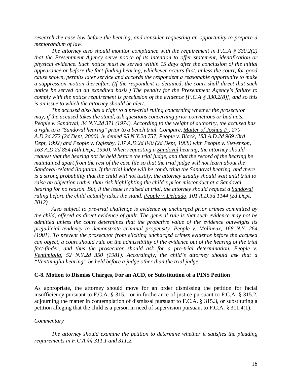*research the case law before the hearing, and consider requesting an opportunity to prepare a memorandum of law.* 

*The attorney also should monitor compliance with the requirement in F.C.A § 330.2(2) that the Presentment Agency serve notice of its intention to offer statement, identification or physical evidence. Such notice must be served within 15 days after the conclusion of the initial appearance or before the fact-finding hearing, whichever occurs first, unless the court, for good cause shown, permits later service and accords the respondent a reasonable opportunity to make a suppression motion thereafter. (If the respondent is detained, the court shall direct that such notice be served on an expedited basis.) The penalty for the Presentment Agency's failure to comply with the notice requirement is preclusion of the evidence [F.C.A § 330.2(8)], and so this is an issue to which the attorney should be alert.* 

*The accused also has a right to a pre-trial ruling concerning whether the prosecutor may, if the accused takes the stand, ask questions concerning prior convictions or bad acts. People v. Sandoval, 34 N.Y.2d 371 (1974). According to the weight of authority, the accused has a right to a "Sandoval hearing" prior to a bench trial. Compare, Matter of Joshua P., 270 A.D.2d 272 (2d Dept, 2000), lv denied 95 N.Y.2d 757, People v. Black, 183 A.D.2d 969 (3rd Dept, 1992) and People v. Oglesby, 137 A.D.2d 840 (2d Dept, 1988) with People v. Stevenson, 163 A.D.2d 854 (4th Dept, 1990). When requesting a Sandoval hearing, the attorney should request that the hearing not be held before the trial judge, and that the record of the hearing be maintained apart from the rest of the case file so that the trial judge will not learn about the Sandoval-related litigation. If the trial judge will be conducting the Sandoval hearing, and there is a strong probability that the child will not testify, the attorney usually should wait until trial to raise an objection rather than risk highlighting the child's prior misconduct at a Sandoval hearing for no reason. But, if the issue is raised at trial, the attorney should request a Sandoval ruling before the child actually takes the stand. People v. Delgado, 101 A.D.3d 1144 (2d Dept, 2012).* 

*Also subject to pre-trial challenge is evidence of uncharged prior crimes committed by the child, offered as direct evidence of guilt. The general rule is that such evidence may not be admitted unless the court determines that the probative value of the evidence outweighs its prejudicial tendency to demonstrate criminal propensity. People v. Molineux, 168 N.Y. 264 (1901). To prevent the prosecutor from eliciting uncharged crimes evidence before the accused can object, a court should rule on the admissibility of the evidence out of the hearing of the trial*  fact-finder, and thus the prosecutor should ask for a pre-trial determination. People v. *Ventimiglia, 52 N.Y.2d 350 (1981). Accordingly, the child's attorney should ask that a "Ventimiglia hearing" be held before a judge other than the trial judge.* 

#### **C-8. Motion to Dismiss Charges, For an ACD, or Substitution of a PINS Petition**

As appropriate, the attorney should move for an order dismissing the petition for facial insufficiency pursuant to F.C.A. § 315.1 or in furtherance of justice pursuant to F.C.A. § 315.2, adjourning the matter in contemplation of dismissal pursuant to F.C.A. § 315.3, or substituting a petition alleging that the child is a person in need of supervision pursuant to F.C.A. § 311.4(1).

#### *Commentary*

*The attorney should examine the petition to determine whether it satisfies the pleading requirements in F.C.A §§ 311.1 and 311.2.*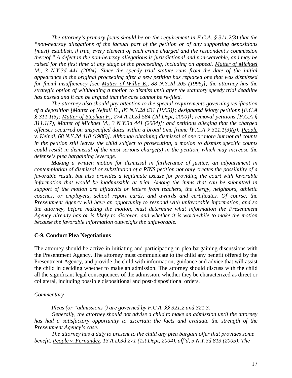*The attorney's primary focus should be on the requirement in F.C.A. § 311.2(3) that the "non-hearsay allegations of the factual part of the petition or of any supporting depositions [must] establish, if true, every element of each crime charged and the respondent's commission thereof." A defect in the non-hearsay allegations is jurisdictional and non-waivable, and may be raised for the first time at any stage of the proceeding, including on appeal. Matter of Michael M., 3 N.Y.3d 441 (2004). Since the speedy trial statute runs from the date of the initial appearance in the original proceeding after a new petition has replaced one that was dismissed for facial insufficiency [see Matter of Willie E., 88 N.Y.2d 205 (1996)], the attorney has the strategic option of withholding a motion to dismiss until after the statutory speedy trial deadline has passed and it can be argued that the case cannot be re-filed.* 

*The attorney also should pay attention to the special requirements governing verification of a deposition [Matter of Neftali D., 85 N.Y.2d 631 (1995)]; designated felony petitions [F.C.A § 311.1(5); Matter of Stephan F., 274 A.D.2d 584 (2d Dept, 2000)]; removal petitions [F.C.A § 311.1(7); Matter of Michael M., 3 N.Y.3d 441 (2004)]; and petitions alleging that the charged offenses occurred on unspecified dates within a broad time frame [F.C.A § 311.1(3)(g); People v. Keindl, 68 N.Y.2d 410 (1986)]. Although obtaining dismissal of one or more but not all counts in the petition still leaves the child subject to prosecution, a motion to dismiss specific counts could result in dismissal of the most serious charge(s) in the petition, which may increase the defense's plea bargaining leverage.* 

*Making a written motion for dismissal in furtherance of justice, an adjournment in contemplation of dismissal or substitution of a PINS petition not only creates the possibility of a favorable result, but also provides a legitimate excuse for providing the court with favorable information that would be inadmissible at trial. Among the items that can be submitted in support of the motion are affidavits or letters from teachers, the clergy, neighbors, athletic coaches, or employers, school report cards, and awards and certificates. Of course, the Presentment Agency will have an opportunity to respond with unfavorable information, and so the attorney, before making the motion, must determine what information the Presentment Agency already has or is likely to discover, and whether it is worthwhile to make the motion because the favorable information outweighs the unfavorable.* 

# **C-9. Conduct Plea Negotiations**

The attorney should be active in initiating and participating in plea bargaining discussions with the Presentment Agency. The attorney must communicate to the child any benefit offered by the Presentment Agency, and provide the child with information, guidance and advice that will assist the child in deciding whether to make an admission. The attorney should discuss with the child all the significant legal consequences of the admission, whether they be characterized as direct or collateral, including possible dispositional and post-dispositional orders.

# *Commentary*

*Pleas (or "admissions") are governed by F.C.A. §§ 321.2 and 321.3.* 

*Generally, the attorney should not advise a child to make an admission until the attorney has had a satisfactory opportunity to ascertain the facts and evaluate the strength of the Presentment Agency's case.* 

*The attorney has a duty to present to the child any plea bargain offer that provides some benefit. People v. Fernandez, 13 A.D.3d 271 (1st Dept, 2004), aff'd, 5 N.Y.3d 813 (2005)*. *The*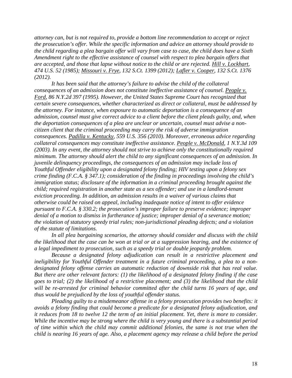*attorney can, but is not required to, provide a bottom line recommendation to accept or reject the prosecution's offer. While the specific information and advice an attorney should provide to the child regarding a plea bargain offer will vary from case to case, the child does have a Sixth Amendment right to the effective assistance of counsel with respect to plea bargain offers that are accepted, and those that lapse without notice to the child or are rejected. Hill v. Lockhart, 474 U.S. 52 (1985); Missouri v. Frye, 132 S.Ct. 1399 (2012); Lafler v. Cooper, 132 S.Ct. 1376 (2012).* 

*It has been said that the attorney's failure to advise the child of the collateral consequences of an admission does not constitute ineffective assistance of counsel. People v. Ford, 86 N.Y.2d 397 (1995). However, the United States Supreme Court has recognized that certain severe consequences, whether characterized as direct or collateral, must be addressed by the attorney. For instance, when exposure to automatic deportation is a consequence of an admission, counsel must give correct advice to a client before the client pleads guilty, and, when the deportation consequences of a plea are unclear or uncertain, counsel must advise a noncitizen client that the criminal proceeding may carry the risk of adverse immigration consequences. Padilla v. Kentucky, 559 U.S. 356 (2010). Moreover, erroneous advice regarding collateral consequences may constitute ineffective assistance. People v. McDonald, 1 N.Y.3d 109 (2003). In any event, the attorney should not strive to achieve only the constitutionally required minimum. The attorney should alert the child to any significant consequences of an admission. In juvenile delinquency proceedings, the consequences of an admission may include loss of Youthful Offender eligibility upon a designated felony finding; HIV testing upon a felony sex crime finding (F.C.A. § 347.1); consideration of the finding in proceedings involving the child's immigration status; disclosure of the information in a criminal proceeding brought against the child; required registration in another state as a sex offender; and use in a landlord-tenant eviction proceeding. In addition, an admission results in a waiver of various claims that otherwise could be raised on appeal, including inadequate notice of intent to offer evidence pursuant to F.C.A. § 330.2; the prosecution's improper failure to preserve evidence; improper denial of a motion to dismiss in furtherance of justice; improper denial of a severance motion; the violation of statutory speedy trial rules; non-jurisdictional pleading defects; and a violation of the statute of limitations.*

*In all plea bargaining scenarios, the attorney should consider and discuss with the child the likelihood that the case can be won at trial or at a suppression hearing, and the existence of a legal impediment to prosecution, such as a speedy trial or double jeopardy problem.* 

*Because a designated felony adjudication can result in a restrictive placement and ineligibility for Youthful Offender treatment in a future criminal proceeding, a plea to a nondesignated felony offense carries an automatic reduction of downside risk that has real value. But there are other relevant factors: (1) the likelihood of a designated felony finding if the case goes to trial; (2) the likelihood of a restrictive placement; and (3) the likelihood that the child will be re-arrested for criminal behavior committed after the child turns 16 years of age, and thus would be prejudiced by the loss of youthful offender status.* 

*Pleading guilty to a misdemeanor offense in a felony prosecution provides two benefits: it avoids a felony finding that could become a predicate for a designated felony adjudication, and it reduces from 18 to twelve 12 the term of an initial placement. Yet, there is more to consider. While the incentive may be strong where the child is very young and there is a substantial period of time within which the child may commit additional felonies, the same is not true when the child is nearing 16 years of age. Also, a placement agency may release a child before the period*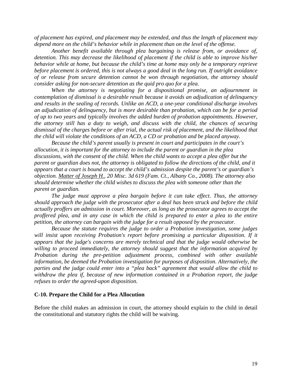*of placement has expired, and placement may be extended, and thus the length of placement may depend more on the child's behavior while in placement than on the level of the offense.* 

*Another benefit available through plea bargaining is release from, or avoidance of, detention. This may decrease the likelihood of placement if the child is able to improve his/her behavior while at home, but because the child's time at home may only be a temporary reprieve before placement is ordered, this is not always a good deal in the long run. If outright avoidance of or release from secure detention cannot be won through negotiation, the attorney should consider asking for non-secure detention as the quid pro quo for a plea.* 

*When the attorney is negotiating for a dispositional promise, an adjournment in contemplation of dismissal is a desirable result because it avoids an adjudication of delinquency and results in the sealing of records. Unlike an ACD, a one-year conditional discharge involves an adjudication of delinquency, but is more desirable than probation, which can be for a period of up to two years and typically involves the added burden of probation appointments. However, the attorney still has a duty to weigh, and discuss with the child, the chances of securing dismissal of the charges before or after trial, the actual risk of placement, and the likelihood that the child will violate the conditions of an ACD, a CD or probation and be placed anyway.* 

*Because the child's parent usually is present in court and participates in the court's allocution, it is important for the attorney to include the parent or guardian in the plea discussions, with the consent of the child. When the child wants to accept a plea offer but the parent or guardian does not, the attorney is obligated to follow the directions of the child, and it appears that a court is bound to accept the child's admission despite the parent's or guardian's objection. Matter of Joseph H., 20 Misc. 3d 619 (Fam. Ct., Albany Co., 2008). The attorney also should determine whether the child wishes to discuss the plea with someone other than the parent or guardian.*

*The judge must approve a plea bargain before it can take effect. Thus, the attorney should approach the judge with the prosecutor after a deal has been struck and before the child actually proffers an admission in court. Moreover, as long as the prosecutor agrees to accept the proffered plea, and in any case in which the child is prepared to enter a plea to the entire petition, the attorney can bargain with the judge for a result opposed by the prosecutor.* 

*Because the statute requires the judge to order a Probation investigation, some judges will insist upon receiving Probation's report before promising a particular disposition. If it appears that the judge's concerns are merely technical and that the judge would otherwise be willing to proceed immediately, the attorney should suggest that the information acquired by Probation during the pre-petition adjustment process, combined with other available information, be deemed the Probation investigation for purposes of disposition. Alternatively, the parties and the judge could enter into a "plea back" agreement that would allow the child to withdraw the plea if, because of new information contained in a Probation report, the judge refuses to order the agreed-upon disposition.* 

#### **C-10. Prepare the Child for a Plea Allocution**

Before the child makes an admission in court, the attorney should explain to the child in detail the constitutional and statutory rights the child will be waiving.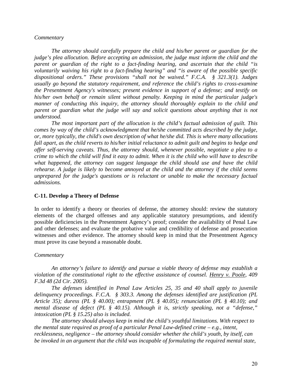#### *Commentary*

*The attorney should carefully prepare the child and his/her parent or guardian for the judge's plea allocution. Before accepting an admission, the judge must inform the child and the parent or guardian of the right to a fact-finding hearing, and ascertain that the child "is voluntarily waiving his right to a fact-finding hearing" and "is aware of the possible specific dispositional orders." These provisions "shall not be waived." F.C.A. § 321.3(1). Judges usually go beyond the statutory requirement, and reference the child's rights to cross-examine the Presentment Agency's witnesses; present evidence in support of a defense; and testify on his/her own behalf or remain silent without penalty. Keeping in mind the particular judge's manner of conducting this inquiry, the attorney should thoroughly explain to the child and parent or guardian what the judge will say and solicit questions about anything that is not understood.* 

*The most important part of the allocution is the child's factual admission of guilt. This comes by way of the child's acknowledgment that he/she committed acts described by the judge, or, more typically, the child's own description of what he/she did. This is where many allocutions fall apart, as the child reverts to his/her initial reluctance to admit guilt and begins to hedge and offer self-serving caveats. Thus, the attorney should, whenever possible, negotiate a plea to a crime to which the child will find it easy to admit. When it is the child who will have to describe what happened, the attorney can suggest language the child should use and have the child rehearse. A judge is likely to become annoyed at the child and the attorney if the child seems unprepared for the judge's questions or is reluctant or unable to make the necessary factual admissions.* 

#### **C-11. Develop a Theory of Defense**

In order to identify a theory or theories of defense, the attorney should: review the statutory elements of the charged offenses and any applicable statutory presumptions, and identify possible deficiencies in the Presentment Agency's proof; consider the availability of Penal Law and other defenses; and evaluate the probative value and credibility of defense and prosecution witnesses and other evidence. The attorney should keep in mind that the Presentment Agency must prove its case beyond a reasonable doubt.

#### *Commentary*

*An attorney's failure to identify and pursue a viable theory of defense may establish a violation of the constitutional right to the effective assistance of counsel. Henry v. Poole, 409 F.3d 48 (2d Cir. 2005).* 

*The defenses identified in Penal Law Articles 25, 35 and 40 shall apply to juvenile delinquency proceedings. F.C.A. § 303.3. Among the defenses identified are justification (PL Article 35); duress (PL § 40.00); entrapment (PL § 40.05); renunciation (PL § 40.10); and mental disease of defect (PL § 40.15). Although it is, strictly speaking, not a "defense," intoxication (PL § 15.25) also is included.* 

*The attorney should always keep in mind the child's youthful limitations. With respect to the mental state required as proof of a particular Penal Law-defined crime – e.g., intent, recklessness, negligence – the attorney should consider whether the child's youth, by itself, can be invoked in an argument that the child was incapable of formulating the required mental state,*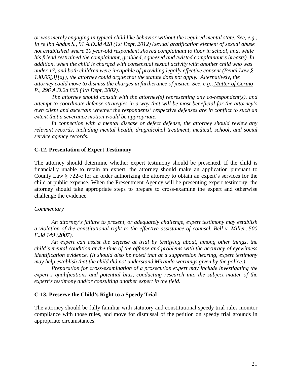*or was merely engaging in typical child like behavior without the required mental state. See, e.g., In re Ibn Abdus S., 91 A.D.3d 428 (1st Dept, 2012) (sexual gratification element of sexual abuse not established where 10 year-old respondent shoved complainant to floor in school, and, while his friend restrained the complainant, grabbed, squeezed and twisted complainant's breasts). In addition, when the child is charged with consensual sexual activity with another child who was under 17, and both children were incapable of providing legally effective consent (Penal Law § 130.05[3][a]), the attorney could argue that the statute does not apply. Alternatively, the attorney could move to dismiss the charges in furtherance of justice. See, e.g., Matter of Cerino P., 296 A.D.2d 868 (4th Dept, 2002).* 

*The attorney should consult with the attorney(s) representing any co-respondent(s), and attempt to coordinate defense strategies in a way that will be most beneficial for the attorney's own client and ascertain whether the respondents' respective defenses are in conflict to such an extent that a severance motion would be appropriate.* 

*In connection with a mental disease or defect defense, the attorney should review any relevant records, including mental health, drug/alcohol treatment, medical, school, and social service agency records.* 

#### **C-12. Presentation of Expert Testimony**

The attorney should determine whether expert testimony should be presented. If the child is financially unable to retain an expert, the attorney should make an application pursuant to County Law § 722-c for an order authorizing the attorney to obtain an expert's services for the child at public expense. When the Presentment Agency will be presenting expert testimony, the attorney should take appropriate steps to prepare to cross-examine the expert and otherwise challenge the evidence.

#### *Commentary*

*An attorney's failure to present, or adequately challenge, expert testimony may establish a violation of the constitutional right to the effective assistance of counsel. Bell v. Miller, 500 F.3d 149 (2007).* 

*An expert can assist the defense at trial by testifying about, among other things, the child's mental condition at the time of the offense and problems with the accuracy of eyewitness identification evidence. (It should also be noted that at a suppression hearing, expert testimony may help establish that the child did not understand Miranda warnings given by the police.)* 

*Preparation for cross-examination of a prosecution expert may include investigating the expert's qualifications and potential bias, conducting research into the subject matter of the expert's testimony and/or consulting another expert in the field.* 

#### **C-13. Preserve the Child's Right to a Speedy Trial**

The attorney should be fully familiar with statutory and constitutional speedy trial rules monitor compliance with those rules, and move for dismissal of the petition on speedy trial grounds in appropriate circumstances.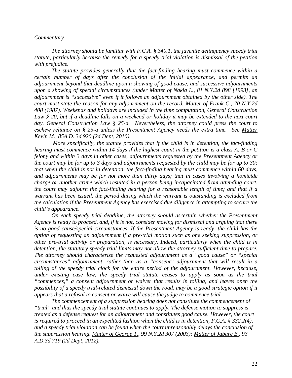#### *Commentary*

*The attorney should be familiar with F.C.A. § 340.1, the juvenile delinquency speedy trial statute, particularly because the remedy for a speedy trial violation is dismissal of the petition with prejudice.* 

*The statute provides generally that the fact-finding hearing must commence within a certain number of days after the conclusion of the initial appearance, and permits an adjournment beyond that deadline upon a showing of good cause, and successive adjournments upon a showing of special circumstances (under Matter of Nakia L., 81 N.Y.2d 898 [1993], an adjournment is "successive" even if it follows an adjournment obtained by the other side). The court must state the reason for any adjournment on the record. Matter of Frank C., 70 N.Y.2d 408 (1987). Weekends and holidays are included in the time computation, General Construction Law § 20, but if a deadline falls on a weekend or holiday it may be extended to the next court day. General Construction Law § 25-a. Nevertheless, the attorney could press the court to eschew reliance on § 25-a unless the Presentment Agency needs the extra time. See Matter Kevin M., 85A.D. 3d 920 (2d Dept, 2010).* 

*More specifically, the statute provides that if the child is in detention, the fact-finding hearing must commence within 14 days if the highest count in the petition is a class A, B or C felony and within 3 days in other cases, adjournments requested by the Presentment Agency or the court may be for up to 3 days and adjournments requested by the child may be for up to 30; that when the child is not in detention, the fact-finding hearing must commence within 60 days, and adjournments may be for not more than thirty days; that in cases involving a homicide charge or another crime which resulted in a person being incapacitated from attending court, the court may adjourn the fact-finding hearing for a reasonable length of time; and that if a warrant has been issued, the period during which the warrant is outstanding is excluded from the calculation if the Presentment Agency has exercised due diligence in attempting to secure the child's appearance.*

*On each speedy trial deadline, the attorney should ascertain whether the Presentment Agency is ready to proceed, and, if it is not, consider moving for dismissal and arguing that there is no good cause/special circumstances. If the Presentment Agency is ready, the child has the option of requesting an adjournment if a pre-trial motion such as one seeking suppression, or other pre-trial activity or preparation, is necessary. Indeed, particularly when the child is in detention, the statutory speedy trial limits may not allow the attorney sufficient time to prepare. The attorney should characterize the requested adjournment as a "good cause" or "special circumstances" adjournment, rather than as a "consent" adjournment that will result in a tolling of the speedy trial clock for the entire period of the adjournment. However, because, under existing case law, the speedy trial statute ceases to apply as soon as the trial "commences," a consent adjournment or waiver that results in tolling, and leaves open the possibility of a speedy trial-related dismissal down the road, may be a good strategic option if it appears that a refusal to consent or waive will cause the judge to commence trial.* 

*The commencement of a suppression hearing does not constitute the commencement of "trial" and thus the speedy trial statute continues to apply. The defense motion to suppress is treated as a defense request for an adjournment and constitutes good cause. However, the court is required to proceed in an expedited fashion when the child is in detention, F.C.A. § 332.2(4), and a speedy trial violation can be found when the court unreasonably delays the conclusion of the suppression hearing. Matter of George T., 99 N.Y.2d 307 (2003); Matter of Jabare B., 93 A.D.3d 719 (2d Dept, 2012).*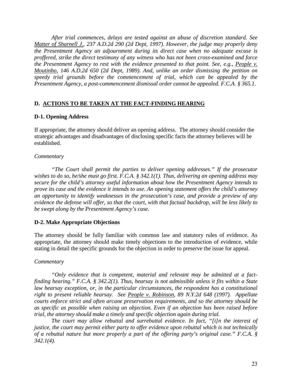*After trial commences, delays are tested against an abuse of discretion standard. See Matter of Sharnell J., 237 A.D.2d 290 (2d Dept, 1997). However, the judge may properly deny the Presentment Agency an adjournment during its direct case when no adequate excuse is proffered, strike the direct testimony of any witness who has not been cross-examined and force the Presentment Agency to rest with the evidence presented to that point. See, e.g., People v. Moutinho, 146 A.D.2d 650 (2d Dept, 1989). And, unlike an order dismissing the petition on speedy trial grounds before the commencement of trial, which can be appealed by the Presentment Agency, a post-commencement dismissal order cannot be appealed. F.C.A. § 365.1.* 

# **D. ACTIONS TO BE TAKEN AT THE FACT-FINDING HEARING**

# **D-1. Opening Address**

If appropriate, the attorney should deliver an opening address. The attorney should consider the strategic advantages and disadvantages of disclosing specific facts the attorney believes will be established.

# *Commentary*

*"The Court shall permit the parties to deliver opening addresses." If the prosecutor wishes to do so, he/she must go first. F.C.A. § 342.1(1). Thus, delivering an opening address may secure for the child's attorney useful information about how the Presentment Agency intends to prove its case and the evidence it intends to use. An opening statement offers the child's attorney an opportunity to identify weaknesses in the prosecution's case, and provide a preview of any evidence the defense will offer, so that the court, with that factual backdrop, will be less likely to be swept along by the Presentment Agency's case.* 

# **D-2. Make Appropriate Objections**

The attorney should be fully familiar with common law and statutory rules of evidence. As appropriate, the attorney should make timely objections to the introduction of evidence, while stating in detail the specific grounds for the objection in order to preserve the issue for appeal.

# *Commentary*

*"Only evidence that is competent, material and relevant may be admitted at a factfinding hearing." F.C.A. § 342.2(1). Thus, hearsay is not admissible unless it fits within a State law hearsay exception, or, in the particular circumstances, the respondent has a constitutional right to present reliable hearsay. See People v. Robinson, 89 N.Y.2d 648 (1997). Appellate courts enforce strict and often arcane preservation requirements, and so the attorney should be as specific as possible when raising an objection. Even if an objection has been raised before trial, the attorney should make a timely and specific objection again during trial.* 

*The court may allow rebuttal and surrebuttal evidence. In fact, "[i]n the interest of justice, the court may permit either party to offer evidence upon rebuttal which is not technically of a rebuttal nature but more properly a part of the offering party's original case." F.C.A. § 342.1(4).*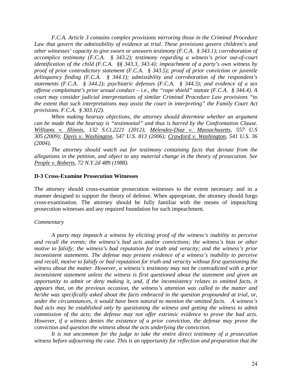*F.C.A. Article 3 contains complex provisions mirroring those in the Criminal Procedure Law that govern the admissibility of evidence at trial. These provisions govern children's and other witnesses' capacity to give sworn or unsworn testimony (F.C.A. § 343.1); corroboration of accomplice testimony (F.C.A. § 343.2); testimony regarding a witness's prior out-of-court identification of the child (F.C.A. §§ 343.3, 343.4); impeachment of a party's own witness by proof of prior contradictory statement (F.C.A. § 343.5); proof of prior conviction or juvenile delinquency finding (F.C.A. § 344.1); admissibility and corroboration of the respondent's statements (F.C.A. § 344.2); psychiatric defenses (F.C.A. § 344.3); and evidence of a sex offense complainant's prior sexual conduct – i.e., the "rape shield" statute (F.C.A. § 344.4). A court may consider judicial interpretations of similar Criminal Procedure Law provisions "to the extent that such interpretations may assist the court in interpreting" the Family Court Act provisions. F.C.A. § 303.1(2).* 

*When making hearsay objections, the attorney should determine whether an argument can be made that the hearsay is "testimonial" and thus is barred by the Confrontation Clause. Williams v. Illinois, 132 S.Ct.2221 (2012); Melendez-Diaz v. Massachusetts, 557 U.S 305 (2009); Davis v. Washington, 547 U.S. 813 (2006); Crawford v. Washington, 541 U.S. 36 (2004).* 

*The attorney should watch out for testimony containing facts that deviate from the allegations in the petition, and object to any material change in the theory of prosecution. See People v. Roberts, 72 N.Y.2d 489 (1988).* 

#### **D-3 Cross-Examine Prosecution Witnesses**

The attorney should cross-examine prosecution witnesses to the extent necessary and in a manner designed to support the theory of defense. When appropriate, the attorney should forgo cross-examination. The attorney should be fully familiar with the means of impeaching prosecution witnesses and any required foundation for such impeachment.

#### *Commentary*

*A party may impeach a witness by eliciting proof of the witness's inability to perceive and recall the events; the witness's bad acts and/or convictions; the witness's bias or other motive to falsify; the witness's bad reputation for truth and veracity; and the witness's prior inconsistent statements. The defense may present evidence of a witness's inability to perceive and recall, motive to falsify or bad reputation for truth and veracity without first questioning the witness about the matter. However, a witness's testimony may not be contradicted with a prior inconsistent statement unless the witness is first questioned about the statement and given an opportunity to admit or deny making it, and, if the inconsistency relates to omitted facts, it appears that, on the previous occasion, the witness's attention was called to the matter and he/she was specifically asked about the facts embraced in the question propounded at trial, or, under the circumstances, it would have been natural to mention the omitted facts. A witness's bad acts may be established only by questioning the witness and getting the witness to admit commission of the acts; the defense may not offer extrinsic evidence to prove the bad acts. However, if a witness denies the existence of a prior conviction, the defense may prove the conviction and question the witness about the acts underlying the conviction.* 

*It is not uncommon for the judge to take the entire direct testimony of a prosecution witness before adjourning the case. This is an opportunity for reflection and preparation that the*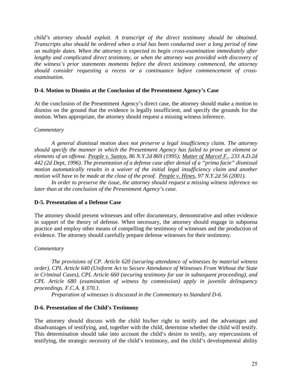*child's attorney should exploit. A transcript of the direct testimony should be obtained. Transcripts also should be ordered when a trial has been conducted over a long period of time on multiple dates. When the attorney is expected to begin cross-examination immediately after lengthy and complicated direct testimony, or when the attorney was provided with discovery of the witness's prior statements moments before the direct testimony commenced, the attorney should consider requesting a recess or a continuance before commencement of crossexamination.* 

# **D-4. Motion to Dismiss at the Conclusion of the Presentment Agency's Case**

At the conclusion of the Presentment Agency's direct case, the attorney should make a motion to dismiss on the ground that the evidence is legally insufficient, and specify the grounds for the motion. When appropriate, the attorney should request a missing witness inference.

# *Commentary*

*A general dismissal motion does not preserve a legal insufficiency claim. The attorney should specify the manner in which the Presentment Agency has failed to prove an element or elements of an offense. People v. Santos, 86 N.Y.2d 869 (1995); Matter of Marcel F., 233 A.D.2d 442 (2d Dept, 1996). The presentation of a defense case after denial of a "prima facie" dismissal motion automatically results in a waiver of the initial legal insufficiency claim and another motion will have to be made at the close of the proof. People v. Hines, 97 N.Y.2d 56 (2001).* 

*In order to preserve the issue, the attorney should request a missing witness inference no later than at the conclusion of the Presentment Agency's case.*

# **D-5. Presentation of a Defense Case**

The attorney should present witnesses and offer documentary, demonstrative and other evidence in support of the theory of defense. When necessary, the attorney should engage in subpoena practice and employ other means of compelling the testimony of witnesses and the production of evidence. The attorney should carefully prepare defense witnesses for their testimony.

# *Commentary*

*The provisions of CP. Article 620 (securing attendance of witnesses by material witness order), CPL Article 640 (Uniform Act to Secure Attendance of Witnesses From Without the State in Criminal Cases), CPL Article 660 (securing testimony for use in subsequent proceeding), and CPL Article 680 (examination of witness by commission) apply in juvenile delinquency proceedings. F.C.A. § 370.1.* 

*Preparation of witnesses is discussed in the Commentary to Standard D-6.* 

# **D-6. Presentation of the Child's Testimony**

The attorney should discuss with the child his/her right to testify and the advantages and disadvantages of testifying, and, together with the child, determine whether the child will testify. This determination should take into account the child's desire to testify, any repercussions of testifying, the strategic necessity of the child's testimony, and the child's developmental ability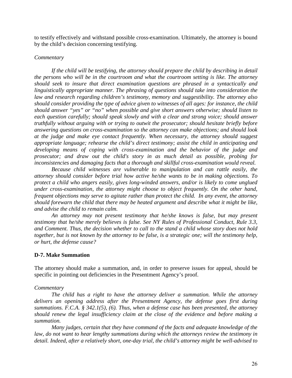to testify effectively and withstand possible cross-examination. Ultimately, the attorney is bound by the child's decision concerning testifying.

# *Commentary*

*If the child will be testifying, the attorney should prepare the child by describing in detail the persons who will be in the courtroom and what the courtroom setting is like. The attorney should seek to insure that direct examination questions are phrased in a syntactically and linguistically appropriate manner. The phrasing of questions should take into consideration the law and research regarding children's testimony, memory and suggestibility. The attorney also should consider providing the type of advice given to witnesses of all ages: for instance, the child should answer "yes" or "no" when possible and give short answers otherwise; should listen to each question carefully; should speak slowly and with a clear and strong voice; should answer truthfully without arguing with or trying to outwit the prosecutor; should hesitate briefly before answering questions on cross-examination so the attorney can make objections; and should look at the judge and make eye contact frequently. When necessary, the attorney should suggest appropriate language; rehearse the child's direct testimony; assist the child in anticipating and developing means of coping with cross-examination and the behavior of the judge and prosecutor; and draw out the child's story in as much detail as possible, probing for inconsistencies and damaging facts that a thorough and skillful cross-examination would reveal.* 

*Because child witnesses are vulnerable to manipulation and can rattle easily, the attorney should consider before trial how active he/she wants to be in making objections. To protect a child who angers easily, gives long-winded answers, and/or is likely to come unglued under cross-examination, the attorney might choose to object frequently. On the other hand, frequent objections may serve to agitate rather than protect the child. In any event, the attorney should forewarn the child that there may be heated argument and describe what it might be like, and advise the child to remain calm.* 

*An attorney may not present testimony that he/she knows is false, but may present testimony that he/she merely believes is false. See NY Rules of Professional Conduct, Rule 3.3, and Comment. Thus, the decision whether to call to the stand a child whose story does not hold together, but is not known by the attorney to be false, is a strategic one; will the testimony help, or hurt, the defense cause?* 

#### **D-7. Make Summation**

The attorney should make a summation, and, in order to preserve issues for appeal, should be specific in pointing out deficiencies in the Presentment Agency's proof.

#### *Commentary*

*The child has a right to have the attorney deliver a summation. While the attorney delivers an opening address after the Presentment Agency, the defense goes first during summations. F.C.A. § 342.1(5), (6). Thus, when a defense case has been presented, the attorney should renew the legal insufficiency claim at the close of the evidence and before making a summation.* 

*Many judges, certain that they have command of the facts and adequate knowledge of the law, do not want to hear lengthy summations during which the attorneys review the testimony in detail. Indeed, after a relatively short, one-day trial, the child's attorney might be well-advised to*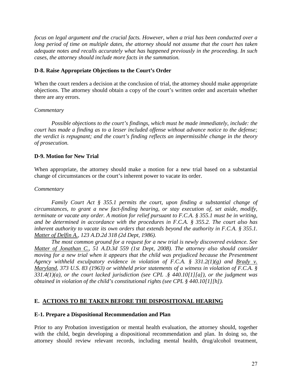*focus on legal argument and the crucial facts. However, when a trial has been conducted over a long period of time on multiple dates, the attorney should not assume that the court has taken adequate notes and recalls accurately what has happened previously in the proceeding. In such cases, the attorney should include more facts in the summation.* 

# **D-8. Raise Appropriate Objections to the Court's Order**

When the court renders a decision at the conclusion of trial, the attorney should make appropriate objections. The attorney should obtain a copy of the court's written order and ascertain whether there are any errors.

# *Commentary*

*Possible objections to the court's findings, which must be made immediately, include: the court has made a finding as to a lesser included offense without advance notice to the defense; the verdict is repugnant; and the court's finding reflects an impermissible change in the theory of prosecution.* 

# **D-9. Motion for New Trial**

When appropriate, the attorney should make a motion for a new trial based on a substantial change of circumstances or the court's inherent power to vacate its order.

# *Commentary*

*Family Court Act § 355.1 permits the court, upon finding a substantial change of circumstances, to grant a new fact-finding hearing, or stay execution of, set aside, modify, terminate or vacate any order. A motion for relief pursuant to F.C.A. § 355.1 must be in writing, and be determined in accordance with the procedures in F.C.A. § 355.2. The court also has inherent authority to vacate its own orders that extends beyond the authority in F.C.A. § 355.1. Matter of Delfin A., 123 A.D.2d 318 (2d Dept, 1986).* 

*The most common ground for a request for a new trial is newly discovered evidence. See Matter of Jonathan C., 51 A.D.3d 559 (1st Dept, 2008). The attorney also should consider moving for a new trial when it appears that the child was prejudiced because the Presentment Agency withheld exculpatory evidence in violation of F.C.A. § 331.2(1)(g) and Brady v. Maryland, 373 U.S. 83 (1963) or withheld prior statements of a witness in violation of F.C.A. § 331.4(1)(a), or the court lacked jurisdiction (see CPL .§ 440.10[1][a]), or the judgment was obtained in violation of the child's constitutional rights (see CPL § 440.10[1][h]).* 

# **E. ACTIONS TO BE TAKEN BEFORE THE DISPOSITIONAL HEARING**

# **E-1. Prepare a Dispositional Recommendation and Plan**

Prior to any Probation investigation or mental health evaluation, the attorney should, together with the child, begin developing a dispositional recommendation and plan. In doing so, the attorney should review relevant records, including mental health, drug/alcohol treatment,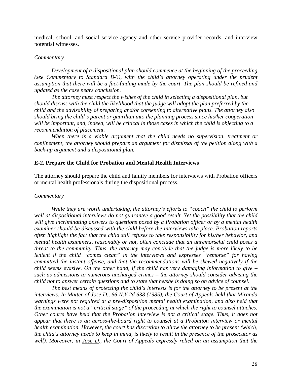medical, school, and social service agency and other service provider records, and interview potential witnesses.

#### *Commentary*

*Development of a dispositional plan should commence at the beginning of the proceeding (see Commentary to Standard B-3), with the child's attorney operating under the prudent assumption that there will be a fact-finding made by the court. The plan should be refined and updated as the case nears conclusion.* 

 *The attorney must respect the wishes of the child in selecting a dispositional plan, but should discuss with the child the likelihood that the judge will adopt the plan preferred by the child and the advisability of preparing and/or consenting to alternative plans. The attorney also should bring the child's parent or guardian into the planning process since his/her cooperation will be important, and, indeed, will be critical in those cases in which the child is objecting to a recommendation of placement.* 

*When there is a viable argument that the child needs no supervision, treatment or confinement, the attorney should prepare an argument for dismissal of the petition along with a back-up argument and a dispositional plan.* 

#### **E-2. Prepare the Child for Probation and Mental Health Interviews**

The attorney should prepare the child and family members for interviews with Probation officers or mental health professionals during the dispositional process.

#### *Commentary*

*While they are worth undertaking, the attorney's efforts to "coach" the child to perform well at dispositional interviews do not guarantee a good result. Yet the possibility that the child will give incriminating answers to questions posed by a Probation officer or by a mental health examiner should be discussed with the child before the interviews take place. Probation reports often highlight the fact that the child still refuses to take responsibility for his/her behavior, and mental health examiners, reasonably or not, often conclude that an unremorseful child poses a threat to the community. Thus, the attorney may conclude that the judge is more likely to be lenient if the child "comes clean" in the interviews and expresses "remorse" for having committed the instant offense, and that the recommendations will be skewed negatively if the child seems evasive. On the other hand, if the child has very damaging information to give – such as admissions to numerous uncharged crimes – the attorney should consider advising the child not to answer certain questions and to state that he/she is doing so on advice of counsel.* 

*The best means of protecting the child's interests is for the attorney to be present at the interviews. In Matter of Jose D., 66 N.Y.2d 638 (1985), the Court of Appeals held that Miranda warnings were not required at a pre-disposition mental health examination, and also held that the examination is not a "critical stage" of the proceeding at which the right to counsel attaches. Other courts have held that the Probation interview is not a critical stage. Thus, it does not appear that there is an across-the-board right to counsel at a Probation interview or mental health examination. However, the court has discretion to allow the attorney to be present (which, the child's attorney needs to keep in mind, is likely to result in the presence of the prosecutor as well). Moreover, in Jose D., the Court of Appeals expressly relied on an assumption that the*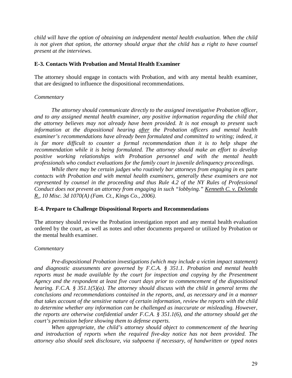*child will have the option of obtaining an independent mental health evaluation. When the child is not given that option, the attorney should argue that the child has a right to have counsel present at the interviews.* 

# **E-3. Contacts With Probation and Mental Health Examiner**

The attorney should engage in contacts with Probation, and with any mental health examiner, that are designed to influence the dispositional recommendations.

# *Commentary*

*The attorney should communicate directly to the assigned investigative Probation officer, and to any assigned mental health examiner, any positive information regarding the child that the attorney believes may not already have been provided. It is not enough to present such information at the dispositional hearing after the Probation officers and mental health examiner's recommendations have already been formulated and committed to writing; indeed, it*  is far more difficult to counter a formal recommendation than it is to help shape the *recommendation while it is being formulated. The attorney should make an effort to develop positive working relationships with Probation personnel and with the mental health professionals who conduct evaluations for the family court in juvenile delinquency proceedings.* 

*While there may be certain judges who routinely bar attorneys from engaging in* ex parte *contacts with Probation and with mental health examiners, generally these examiners are not represented by counsel in the proceeding and thus Rule 4.2 of the NY Rules of Professional Conduct does not prevent an attorney from engaging in such "lobbying." Kenneth C. v. Delonda R., 10 Misc. 3d 1070(A) (Fam. Ct., Kings Co., 2006).* 

# **E-4. Prepare to Challenge Dispositional Reports and Recommendations**

The attorney should review the Probation investigation report and any mental health evaluation ordered by the court, as well as notes and other documents prepared or utilized by Probation or the mental health examiner.

# *Commentary*

*Pre-dispositional Probation investigations (which may include a victim impact statement) and diagnostic assessments are governed by F.C.A. § 351.1. Probation and mental health reports must be made available by the court for inspection and copying by the Presentment Agency and the respondent at least five court days prior to commencement of the dispositional hearing. F.C.A. § 351.1(5)(a). The attorney should discuss with the child in general terms the conclusions and recommendations contained in the reports, and, as necessary and in a manner that takes account of the sensitive nature of certain information, review the reports with the child to determine whether any information can be challenged as inaccurate or misleading. However, the reports are otherwise confidential under F.C.A. § 351.1(6), and the attorney should get the court's permission before showing them to defense experts.* 

*When appropriate, the child's attorney should object to commencement of the hearing and introduction of reports when the required five-day notice has not been provided. The attorney also should seek disclosure, via subpoena if necessary, of handwritten or typed notes*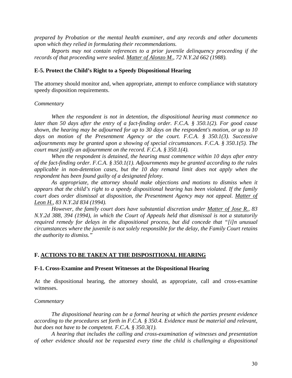*prepared by Probation or the mental health examiner, and any records and other documents upon which they relied in formulating their recommendations.* 

*Reports may not contain references to a prior juvenile delinquency proceeding if the records of that proceeding were sealed. Matter of Alonzo M., 72 N.Y.2d 662 (1988).* 

#### **E-5. Protect the Child's Right to a Speedy Dispositional Hearing**

The attorney should monitor and, when appropriate, attempt to enforce compliance with statutory speedy disposition requirements.

#### *Commentary*

*When the respondent is not in detention, the dispositional hearing must commence no later than 50 days after the entry of a fact-finding order. F.C.A. § 350.1(2). For good cause shown, the hearing may be adjourned for up to 30 days on the respondent's motion, or up to 10 days on motion of the Presentment Agency or the court. F.C.A. § 350.1(3). Successive adjournments may be granted upon a showing of special circumstances. F.C.A. § 350.1(5). The court must justify an adjournment on the record. F.C.A. § 350.1(4).* 

*When the respondent is detained, the hearing must commence within 10 days after entry of the fact-finding order. F.C.A. § 350.1(1). Adjournments may be granted according to the rules applicable in non-detention cases, but the 10 day remand limit does not apply when the respondent has been found guilty of a designated felony.* 

As appropriate, the attorney should make objections and motions to dismiss when it *appears that the child's right to a speedy dispositional hearing has been violated. If the family court does order dismissal at disposition, the Presentment Agency may not appeal. Matter of Leon H., 83 N.Y.2d 834 (1994).* 

*However, the family court does have substantial discretion under Matter of Jose R., 83 N.Y.2d 388, 394 (1994), in which the Court of Appeals held that dismissal is not a statutorily required remedy for delays in the dispositional process, but did concede that "[i]n unusual circumstances where the juvenile is not solely responsible for the delay, the Family Court retains the authority to dismiss."* 

#### **F. ACTIONS TO BE TAKEN AT THE DISPOSITIONAL HEARING**

#### **F-1. Cross-Examine and Present Witnesses at the Dispositional Hearing**

At the dispositional hearing, the attorney should, as appropriate, call and cross-examine witnesses.

#### *Commentary*

*The dispositional hearing can be a formal hearing at which the parties present evidence according to the procedures set forth in F.C.A. § 350.4. Evidence must be material and relevant, but does not have to be competent. F.C.A. § 350.3(1).* 

*A hearing that includes the calling and cross-examination of witnesses and presentation of other evidence should not be requested every time the child is challenging a dispositional*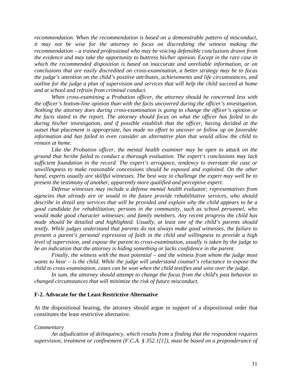*recommendation. When the recommendation is based on a demonstrable pattern of misconduct, it may not be wise for the attorney to focus on discrediting the witness making the recommendation – a trained professional who may be voicing defensible conclusions drawn from the evidence and may take the opportunity to buttress his/her opinion. Except in the rare case in which the recommended disposition is based on inaccurate and unreliable information, or on conclusions that are easily discredited on cross-examination, a better strategy may be to focus the judge's attention on the child's positive attributes, achievements and life circumstances, and outline for the judge a plan of supervision and services that will help the child succeed at home and at school and refrain from criminal conduct.* 

*When cross-examining a Probation officer, the attorney should be concerned less with the officer's bottom-line opinion than with the facts uncovered during the officer's investigation. Nothing the attorney does during cross-examination is going to change the officer's opinion or the facts stated in the report. The attorney should focus on what the officer has failed to do during his/her investigation, and if possible establish that the officer, having decided at the outset that placement is appropriate, has made no effort to uncover or follow up on favorable information and has failed to even consider an alternative plan that would allow the child to remain at home.* 

*Like the Probation officer, the mental health examiner may be open to attack on the ground that he/she failed to conduct a thorough evaluation. The expert's conclusions may lack sufficient foundation in the record. The expert's arrogance, tendency to overstate the case or unwillingness to make reasonable concessions should be exposed and exploited. On the other hand, experts usually are skillful witnesses. The best way to challenge the expert may well be to present the testimony of another, apparently more qualified and perceptive expert.* 

*Defense witnesses may include a defense mental health evaluator; representatives from agencies that already are or would in the future provide rehabilitative services, who should describe in detail any services that will be provided and explain why the child appears to be a good candidate for rehabilitation; persons in the community, such as school personnel, who would make good character witnesses; and family members. Any recent progress the child has made should be detailed and highlighted. Usually, at least one of the child's parents should testify. While judges understand that parents do not always make good witnesses, the failure to present a parent's personal expression of faith in the child and willingness to provide a high level of supervision, and expose the parent to cross-examination, usually is taken by the judge to be an indication that the attorney is hiding something or lacks confidence in the parent.* 

*Finally, the witness with the most potential – and the witness from whom the judge most wants to hear – is the child. While the judge will understand counsel's reluctance to expose the child to cross-examination, cases can be won when the child testifies and wins over the judge.* 

*In sum, the attorney should attempt to change the focus from the child's past behavior to changed circumstances that will minimize the risk of future misconduct.* 

#### **F-2. Advocate for the Least Restrictive Alternative**

At the dispositional hearing, the attorney should argue in support of a dispositional order that constitutes the least restrictive alternative.

#### *Commentary*

*An adjudication of delinquency, which results from a finding that the respondent requires supervision, treatment or confinement (F.C.A. § 352.1[1]), must be based on a preponderance of*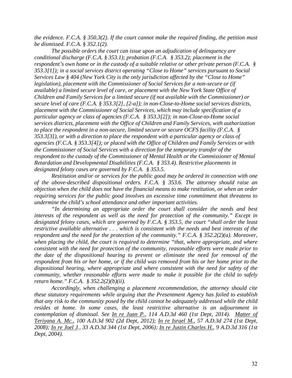*the evidence. F.C.A. § 350.3(2). If the court cannot make the required finding, the petition must be dismissed. F.C.A. § 352.1(2).* 

*The possible orders the court can issue upon an adjudication of delinquency are conditional discharge (F.C.A. § 353.1); probation (F.C.A. § 353.2); placement in the respondent's own home or in the custody of a suitable relative or other private person (F.C.A. § 353.3[1]); in a social services district operating "Close to Home" services pursuant to Social Services Law § 404 (New York City is the only jurisdiction affected by the "Close to Home" legislation), placement with the Commissioner of Social Services for a non-secure or (if available) a limited secure level of care, or placement with the New York State Office of Children and Family Services for a limited secure (if not available with the Commissioner) or secure level of care (F.C.A. § 353.3[2], [2-a]); in non-Close-to-Home social services districts, placement with the Commissioner of Social Services, which may include specification of a particular agency or class of agencies (F.C.A. § 353.3[2]); in non-Close-to-Home social services districts, placement with the Office of Children and Family Services, with authorization to place the respondent in a non-secure, limited secure or secure OCFS facility (F.C.A. § 353.3[3]), or with a direction to place the respondent with a particular agency or class of agencies (F.C.A. § 353.3[4]); or placed with the Office of Children and Family Services or with the Commissioner of Social Services with a direction for the temporary transfer of the respondent to the custody of the Commissioner of Mental Health or the Commissioner of Mental Retardation and Developmental Disabilities (F.C.A. § 353.4). Restrictive placements in designated felony cases are governed by F.C.A. § 353.5.*

*Restitution and/or or services for the public good may be ordered in connection with one of the above-described dispositional orders. F.C.A. § 353.6. The attorney should raise an objection when the child does not have the financial means to make restitution, or when an order requiring services for the public good involves an excessive time commitment that threatens to undermine the child's school attendance and other important activities.*

*"In determining an appropriate order the court shall consider the needs and best interests of the respondent as well as the need for protection of the community." Except in designated felony cases, which are governed by F.C.A. § 353.5, the court "shall order the least restrictive available alternative . . . which is consistent with the needs and best interests of the respondent and the need for the protection of the community." F.C.A. § 352.2(2)(a). Moreover, when placing the child, the court is required to determine "that, where appropriate, and where consistent with the need for protection of the community, reasonable efforts were made prior to the date of the dispositional hearing to prevent or eliminate the need for removal of the respondent from his or her home, or if the child was removed from his or her home prior to the dispositional hearing, where appropriate and where consistent with the need for safety of the community, whether reasonable efforts were made to make it possible for the child to safely return home." F.C.A. § 352.2(2)(b)(ii).* 

*Accordingly, when challenging a placement recommendation, the attorney should cite these statutory requirements while arguing that the Presentment Agency has failed to establish that any risk to the community posed by the child cannot be adequately addressed while the child resides at home. In some cases, the least restrictive alternative is an adjournment in contemplation of dismissal. See In re Juan P., 114 A.D.3d 460 (1st Dept, 2014). Matter of Teriyana A. Mc., 100 A.D.3d 902 (2d Dept, 2012); In re Israel M., 57 A.D.3d 274 (1st Dept, 2008); In re Joel J., 33 A.D.3d 344 (1st Dept, 2006); In re Justin Charles H., 9 A.D.3d 316 (1st Dept, 2004).*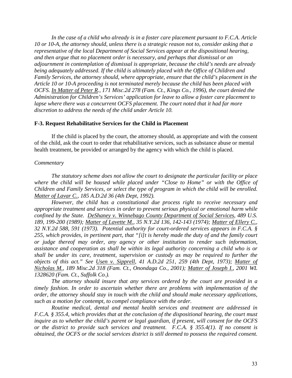*In the case of a child who already is in a foster care placement pursuant to F.C.A. Article 10 or 10-A, the attorney should, unless there is a strategic reason not to, consider asking that a representative of the local Department of Social Services appear at the dispositional hearing, and then argue that no placement order is necessary, and perhaps that dismissal or an adjournment in contemplation of dismissal is appropriate, because the child's needs are already being adequately addressed. If the child is ultimately placed with the Office of Children and Family Services, the attorney should, where appropriate, ensure that the child's placement in the Article 10 or 10-A proceeding is not terminated merely because the child has been placed with OCFS. In Matter of Peter R., 171 Misc.2d 278 (Fam. Ct., Kings Co., 1996), the court denied the Administration for Children's Services' application for leave to allow a foster care placement to lapse where there was a concurrent OCFS placement. The court noted that it had far more discretion to address the needs of the child under Article 10.* 

# **F-3. Request Rehabilitative Services for the Child in Placement**

If the child is placed by the court, the attorney should, as appropriate and with the consent of the child, ask the court to order that rehabilitative services, such as substance abuse or mental health treatment, be provided or arranged by the agency with which the child is placed.

# *Commentary*

*The statutory scheme does not allow the court to designate the particular facility or place where the child will be housed while placed under "Close to Home" or with the Office of Children and Family Services, or select the type of program in which the child will be enrolled. Matter of Lavar C., 185 A.D.2d 36 (4th Dept, 1992).* 

*However, the child has a constitutional due process right to receive necessary and appropriate treatment and services in order to prevent serious physical or emotional harm while confined by the State. DeShaney v. Winnebago County Department of Social Services, 489 U.S. 189, 199-200 (1989); Matter of Lavette M., 35 N.Y.2d 136, 142-143 (1974); Matter of Ellery C., 32 N.Y.2d 588, 591 (1973). Potential authority for court-ordered services appears in F.C.A. § 255, which provides, in pertinent part, that "[i]t is hereby made the duty of and the family court or judge thereof may order, any agency or other institution to render such information, assistance and cooperation as shall be within its legal authority concerning a child who is or shall be under its care, treatment, supervision or custody as may be required to further the objects of this act." See Usen v. Sipprell, 41 A.D.2d 251, 259 (4th Dept, 1973); Matter of Nicholas M., 189 Misc.2d 318 (Fam. Ct., Onondaga Co., 2001); Matter of Joseph I., 2001 WL 1328620 (Fam. Ct., Suffolk Co.).* 

*The attorney should insure that any services ordered by the court are provided in a timely fashion. In order to ascertain whether there are problems with implementation of the order, the attorney should stay in touch with the child and should make necessary applications, such as a motion for contempt, to compel compliance with the order.* 

*Routine medical, dental and mental health services and treatment are addressed in F.C.A. § 355.4, which provides that at the conclusion of the dispositional hearing, the court must inquire as to whether the child's parent or legal guardian, if present, will consent for the OCFS or the district to provide such services and treatment. F.C.A. § 355.4(1). If no consent is obtained, the OCFS or the social services district is still deemed to possess the required consent.*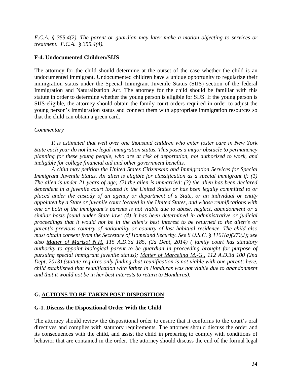*F.C.A. § 355.4(2). The parent or guardian may later make a motion objecting to services or treatment. F.C.A. § 355.4(4).* 

# **F-4. Undocumented Children/SIJS**

The attorney for the child should determine at the outset of the case whether the child is an undocumented immigrant. Undocumented children have a unique opportunity to regularize their immigration status under the Special Immigrant Juvenile Status (SIJS) section of the federal Immigration and Naturalization Act. The attorney for the child should be familiar with this statute in order to determine whether the young person is eligible for SIJS. If the young person is SIJS-eligible, the attorney should obtain the family court orders required in order to adjust the young person's immigration status and connect them with appropriate immigration resources so that the child can obtain a green card.

# *Commentary*

*It is estimated that well over one thousand children who enter foster care in New York State each year do not have legal immigration status. This poses a major obstacle to permanency planning for these young people, who are at risk of deportation, not authorized to work, and ineligible for college financial aid and other government benefits.* 

*A child may petition the United States Citizenship and Immigration Services for Special Immigrant Juvenile Status. An alien is eligible for classification as a special immigrant if: (1) The alien is under 21 years of age; (2) the alien is unmarried; (3) the alien has been declared dependent in a juvenile court located in the United States or has been legally committed to or placed under the custody of an agency or department of a State, or an individual or entity appointed by a State or juvenile court located in the United States, and whose reunifications with one or both of the immigrant's parents is not viable due to abuse, neglect, abandonment or a similar basis found under State law; (4) it has been determined in administrative or judicial proceedings that it would not be in the alien's best interest to be returned to the alien's or parent's previous country of nationality or country of last habitual residence. The child also must obtain consent from the Secretary of Homeland Security. See 8 U.S.C. § 1101(a)(27)(J); see also Matter of Marisol N.H. 115 A.D.3d 185, (2d Dept, 2014) ( family court has statutory authority to appoint biological parent to be guardian in proceeding brought for purpose of pursuing special immigrant juvenile status); Matter of Marcelina M.-G., 112 A.D.3d 100 (2nd Dept, 2013) (statute requires only finding that reunification is not viable with one parent; here, child established that reunification with father in Honduras was not viable due to abandonment and that it would not be in her best interests to return to Honduras).* 

# **G. ACTIONS TO BE TAKEN POST-DISPOSITION**

# **G-1. Discuss the Dispositional Order With the Child**

The attorney should review the dispositional order to ensure that it conforms to the court's oral directives and complies with statutory requirements. The attorney should discuss the order and its consequences with the child, and assist the child in preparing to comply with conditions of behavior that are contained in the order. The attorney should discuss the end of the formal legal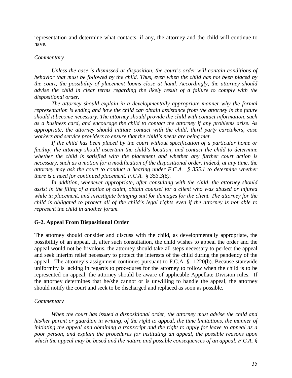representation and determine what contacts, if any, the attorney and the child will continue to have.

# *Commentary*

*Unless the case is dismissed at disposition, the court's order will contain conditions of behavior that must be followed by the child. Thus, even when the child has not been placed by the court, the possibility of placement looms close at hand. Accordingly, the attorney should advise the child in clear terms regarding the likely result of a failure to comply with the dispositional order.*

*The attorney should explain in a developmentally appropriate manner why the formal representation is ending and how the child can obtain assistance from the attorney in the future should it become necessary. The attorney should provide the child with contact information, such as a business card, and encourage the child to contact the attorney if any problems arise. As appropriate, the attorney should initiate contact with the child, third party caretakers, case workers and service providers to ensure that the child's needs are being met.* 

*If the child has been placed by the court without specification of a particular home or facility, the attorney should ascertain the child's location, and contact the child to determine whether the child is satisfied with the placement and whether any further court action is necessary, such as a motion for a modification of the dispositional order. Indeed, at any time, the attorney may ask the court to conduct a hearing under F.C.A. § 355.1 to determine whether there is a need for continued placement. F.C.A. § 353.3(6).* 

*In addition, whenever appropriate, after consulting with the child, the attorney should assist in the filing of a notice of claim, obtain counsel for a client who was abused or injured while in placement, and investigate bringing suit for damages for the client. The attorney for the child is obligated to protect all of the child's legal rights even if the attorney is not able to represent the child in another forum.* 

# **G-2. Appeal From Dispositional Order**

The attorney should consider and discuss with the child, as developmentally appropriate, the possibility of an appeal. If, after such consultation, the child wishes to appeal the order and the appeal would not be frivolous, the attorney should take all steps necessary to perfect the appeal and seek interim relief necessary to protect the interests of the child during the pendency of the appeal. The attorney's assignment continues pursuant to F.C.A. § 1220(b). Because statewide uniformity is lacking in regards to procedures for the attorney to follow when the child is to be represented on appeal, the attorney should be aware of applicable Appellate Division rules.If the attorney determines that he/she cannot or is unwilling to handle the appeal, the attorney should notify the court and seek to be discharged and replaced as soon as possible.

# *Commentary*

*When the court has issued a dispositional order, the attorney must advise the child and his/her parent or guardian in writing, of the right to appeal, the time limitations, the manner of initiating the appeal and obtaining a transcript and the right to apply for leave to appeal as a poor person, and explain the procedures for instituting an appeal, the possible reasons upon which the appeal may be based and the nature and possible consequences of an appeal. F.C.A. §*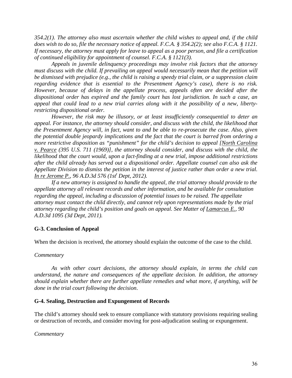*354.2(1). The attorney also must ascertain whether the child wishes to appeal and, if the child does wish to do so, file the necessary notice of appeal. F.C.A. § 354.2(2); see also F.C.A. § 1121. If necessary, the attorney must apply for leave to appeal as a poor person, and file a certification of continued eligibility for appointment of counsel. F.C.A. § 1121(3).* 

*Appeals in juvenile delinquency proceedings may involve risk factors that the attorney must discuss with the child. If prevailing on appeal would necessarily mean that the petition will be dismissed with prejudice (e.g., the child is raising a speedy trial claim, or a suppression claim regarding evidence that is essential to the Presentment Agency's case), there is no risk. However, because of delays in the appellate process, appeals often are decided after the dispositional order has expired and the family court has lost jurisdiction. In such a case, an appeal that could lead to a new trial carries along with it the possibility of a new, libertyrestricting dispositional order.* 

*However, the risk may be illusory, or at least insufficiently consequential to deter an appeal. For instance, the attorney should consider, and discuss with the child, the likelihood that the Presentment Agency will, in fact, want to and be able to re-prosecute the case. Also, given the potential double jeopardy implications and the fact that the court is barred from ordering a more restrictive disposition as "punishment" for the child's decision to appeal [North Carolina v. Pearce (395 U.S. 711 (1969)], the attorney should consider, and discuss with the child, the likelihood that the court would, upon a fact-finding at a new trial, impose additional restrictions after the child already has served out a dispositional order. Appellate counsel can also ask the Appellate Division to dismiss the petition in the interest of justice rather than order a new trial. In re Jerome P., 96 A.D.3d 576 (1st<sup>t</sup> Dept, 2012).* 

*If a new attorney is assigned to handle the appeal, the trial attorney should provide to the appellate attorney all relevant records and other information, and be available for consultation regarding the appeal, including a discussion of potential issues to be raised. The appellate attorney must contact the child directly, and cannot rely upon representations made by the trial attorney regarding the child's position and goals on appeal. See Matter of Lamarcus E., 90 A.D.3d 1095 (3d Dept, 2011).* 

# **G-3. Conclusion of Appeal**

When the decision is received, the attorney should explain the outcome of the case to the child.

# *Commentary*

*As with other court decisions, the attorney should explain, in terms the child can understand, the nature and consequences of the appellate decision. In addition, the attorney should explain whether there are further appellate remedies and what more, if anything, will be done in the trial court following the decision*.

# **G-4. Sealing, Destruction and Expungement of Records**

The child's attorney should seek to ensure compliance with statutory provisions requiring sealing or destruction of records, and consider moving for post-adjudication sealing or expungement.

#### *Commentary*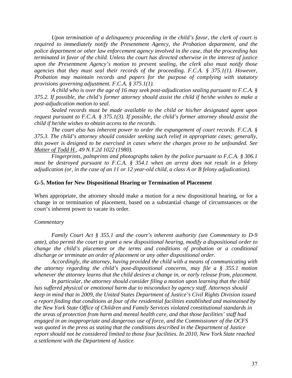*Upon termination of a delinquency proceeding in the child's favor, the clerk of court is required to immediately notify the Presentment Agency, the Probation department, and the police department or other law enforcement agency involved in the case, that the proceeding has terminated in favor of the child. Unless the court has directed otherwise in the interest of justice upon the Presentment Agency's motion to prevent sealing, the clerk also must notify those agencies that they must seal their records of the proceeding. F.C.A. § 375.1(1). However, Probation may maintain records and papers for the purpose of complying with statutory provisions governing adjustment. F.C.A. § 375.1(1).* 

*A child who is over the age of 16 may seek post-adjudication sealing pursuant to F.C.A. § 375.2. If possible, the child's former attorney should assist the child if he/she wishes to make a post-adjudication motion to seal.* 

*Sealed records must be made available to the child or his/her designated agent upon request pursuant to F.C.A. § 375.1(3). If possible, the child's former attorney should assist the child if he/she wishes to obtain access to the records.*

*The court also has inherent power to order the expungement of court records. F.C.A. § 375.3. The child's attorney should consider seeking such relief in appropriate cases; generally, this power is designed to be exercised in cases where the charges prove to be unfounded. See Matter of Todd H., 49 N.Y.2d 1022 (1980).* 

*Fingerprints, palmprints and photographs taken by the police pursuant to F.C.A. § 306.1 must be destroyed pursuant to F.C.A. § 354.1 when an arrest does not result in a felony adjudication (or, in the case of an 11 or 12 year-old child, a class A or B felony adjudication).* 

#### **G-5. Motion for New Dispositional Hearing or Termination of Placement**

When appropriate, the attorney should make a motion for a new dispositional hearing, or for a change in or termination of placement, based on a substantial change of circumstances or the court's inherent power to vacate its order.

#### *Commentary*

*Family Court Act § 355.1 and the court's inherent authority (see Commentary to D-9 ante), also permit the court to grant a new dispositional hearing, modify a dispositional order to change the child's placement or the terms and conditions of probation or a conditional discharge or terminate an order of placement or any other dispositional order.* 

*Accordingly, the attorney, having provided the child with a means of communicating with the attorney regarding the child's post-dispositional concerns, may file a § 355.1 motion whenever the attorney learns that the child desires a change in, or early release from, placement.* 

*In particular, the attorney should consider filing a motion upon learning that the child has suffered physical or emotional harm due to misconduct by agency staff. Attorneys should keep in mind that in 2009, the United States Department of Justice's Civil Rights Division issued a report finding that conditions at four of the residential facilities established and maintained by the New York State Office of Children and Family Services violated constitutional standards in the areas of protection from harm and mental health care, and that those facilities' staff had engaged in an inappropriate and dangerous use of force, and the Commissioner of the OCFS was quoted in the press as stating that the conditions described in the Department of Justice report should not be considered limited to those four facilities. In 2010, New York State reached a settlement with the Department of Justice.*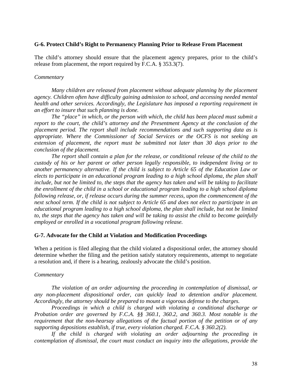#### **G-6. Protect Child's Right to Permanency Planning Prior to Release From Placement**

The child's attorney should ensure that the placement agency prepares, prior to the child's release from placement, the report required by F.C.A. § 353.3(7).

#### *Commentary*

*Many children are released from placement without adequate planning by the placement agency. Children often have difficulty gaining admission to school, and accessing needed mental health and other services. Accordingly, the Legislature has imposed a reporting requirement in an effort to insure that such planning is done.* 

*The "place" in which, or the person with which, the child has been placed must submit a report to the court, the child's attorney and the Presentment Agency at the conclusion of the placement period. The report shall include recommendations and such supporting data as is appropriate. Where the Commissioner of Social Services or the OCFS is not seeking an extension of placement, the report must be submitted not later than 30 days prior to the conclusion of the placement.* 

*The report shall contain a plan for the release, or conditional release of the child to the custody of his or her parent or other person legally responsible, to independent living or to another permanency alternative. If the child is subject to Article 65 of the Education Law or elects to participate in an educational program leading to a high school diploma, the plan shall include, but not be limited to, the steps that the agency has taken and will be taking to facilitate the enrollment of the child in a school or educational program leading to a high school diploma following release, or, if release occurs during the summer recess, upon the commencement of the next school term. If the child is not subject to Article 65 and does not elect to participate in an educational program leading to a high school diploma, the plan shall include, but not be limited*  to, the steps that the agency has taken and will be taking to assist the child to become gainfully *employed or enrolled in a vocational program following release.* 

#### **G-7. Advocate for the Child at Violation and Modification Proceedings**

When a petition is filed alleging that the child violated a dispositional order, the attorney should determine whether the filing and the petition satisfy statutory requirements, attempt to negotiate a resolution and, if there is a hearing, zealously advocate the child's position.

#### *Commentary*

*The violation of an order adjourning the proceeding in contemplation of dismissal, or any non-placement dispositional order, can quickly lead to detention and/or placement. Accordingly, the attorney should be prepared to mount a vigorous defense to the charges.* 

*Proceedings in which a child is charged with violating a conditional discharge or Probation order are governed by F.C.A. §§ 360.1, 360.2, and 360.3. Most notable is the requirement that the non-hearsay allegations of the factual portion of the petition or of any supporting depositions establish, if true, every violation charged. F.C.A. § 360.2(2).* 

*If the child is charged with violating an order adjourning the proceeding in contemplation of dismissal, the court must conduct an inquiry into the allegations, provide the*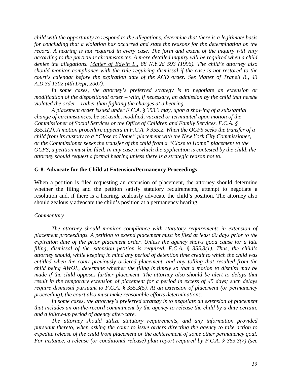*child with the opportunity to respond to the allegations, determine that there is a legitimate basis for concluding that a violation has occurred and state the reasons for the determination on the record. A hearing is not required in every case. The form and extent of the inquiry will vary according to the particular circumstances. A more detailed inquiry will be required when a child denies the allegations. Matter of Edwin L., 88 N.Y.2d 593 (1996). The child's attorney also should monitor compliance with the rule requiring dismissal if the case is not restored to the court's calendar before the expiration date of the ACD order. See Matter of Traneil B., 43 A.D.3d 1302 (4th Dept, 2007).* 

*In some cases, the attorney's preferred strategy is to negotiate an extension or modification of the dispositional order – with, if necessary, an admission by the child that he/she violated the order – rather than fighting the charges at a hearing.* 

*A placement order issued under F.C.A. § 353.3 may, upon a showing of a substantial change of circumstances, be set aside, modified, vacated or terminated upon motion of the Commissioner of Social Services or the Office of Children and Family Services. F.C.A. § 355.1(2). A motion procedure appears in F.C.A. § 355.2. When the OCFS seeks the transfer of a child from its custody to a "Close to Home" placement with the New York City Commissioner, or the Commissioner seeks the transfer of the child from a "Close to Home" placement to the OCFS, a petition must be filed. In any case in which the application is contested by the child, the attorney should request a formal hearing unless there is a strategic reason not to.* 

#### **G-8. Advocate for the Child at Extension/Permanency Proceedings**

When a petition is filed requesting an extension of placement, the attorney should determine whether the filing and the petition satisfy statutory requirements, attempt to negotiate a resolution and, if there is a hearing, zealously advocate the child's position. The attorney also should zealously advocate the child's position at a permanency hearing.

#### *Commentary*

*The attorney should monitor compliance with statutory requirements in extension of placement proceedings. A petition to extend placement must be filed at least 60 days prior to the expiration date of the prior placement order. Unless the agency shows good cause for a late filing, dismissal of the extension petition is required. F.C.A. § 355.3(1). Thus, the child's attorney should, while keeping in mind any period of detention time credit to which the child was entitled when the court previously ordered placement, and any tolling that resulted from the child being AWOL, determine whether the filing is timely so that a motion to dismiss may be made if the child opposes further placement. The attorney also should be alert to delays that result in the temporary extension of placement for a period in excess of 45 days; such delays require dismissal pursuant to F.C.A. § 355.3(5). At an extension of placement (or permanency proceeding), the court also must make reasonable efforts determinations.* 

In some cases, the attorney's preferred strategy is to negotiate an extension of placement *that includes an on-the-record commitment by the agency to release the child by a date certain, and a follow-up period of agency after-care.*

*The attorney should utilize statutory requirements, and any information provided pursuant thereto, when asking the court to issue orders directing the agency to take action to expedite release of the child from placement or the achievement of some other permanency goal. For instance, a release (or conditional release) plan report required by F.C.A. § 353.3(7) (see*